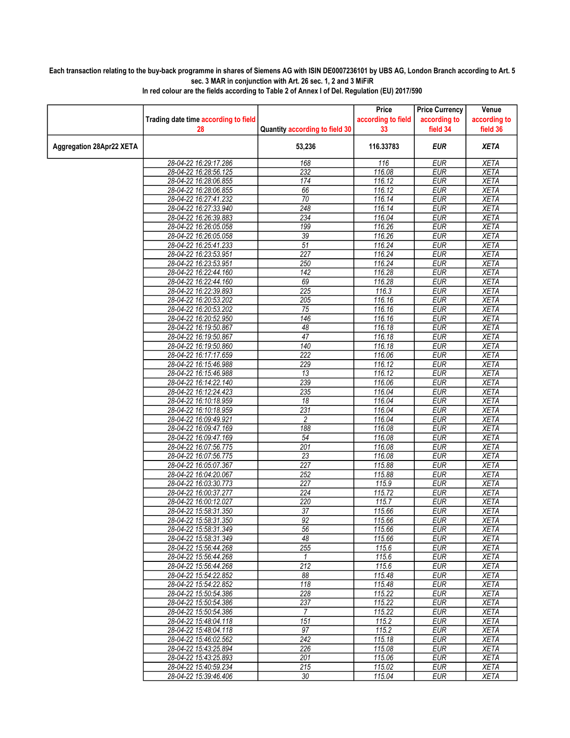## Each transaction relating to the buy-back programme in shares of Siemens AG with ISIN DE0007236101 by UBS AG, London Branch according to Art. 5 sec. 3 MAR in conjunction with Art. 26 sec. 1, 2 and 3 MiFiR

|                                 |                                                |                                | Price              | <b>Price Currency</b>    | Venue                      |
|---------------------------------|------------------------------------------------|--------------------------------|--------------------|--------------------------|----------------------------|
|                                 | Trading date time according to field           |                                | according to field | according to             | according to               |
|                                 | 28                                             | Quantity according to field 30 | 33                 | field 34                 | field 36                   |
| <b>Aggregation 28Apr22 XETA</b> |                                                | 53,236                         | 116.33783          | <b>EUR</b>               | <b>XETA</b>                |
|                                 | 28-04-22 16:29:17.286                          | 168                            | 116                | <b>EUR</b>               | <b>XETA</b>                |
|                                 | 28-04-22 16:28:56.125                          | 232                            | 116.08             | <b>EUR</b>               | <b>XETA</b>                |
|                                 | 28-04-22 16:28:06.855                          | 174                            | 116.12             | <b>EUR</b>               | <b>XETA</b>                |
|                                 | 28-04-22 16:28:06.855                          | 66                             | 116.12             | <b>EUR</b>               | <b>XETA</b>                |
|                                 | 28-04-22 16:27:41.232                          | 70                             | 116.14             | <b>EUR</b>               | <b>XETA</b>                |
|                                 | 28-04-22 16:27:33.940                          | 248                            | 116.14             | <b>EUR</b>               | <b>XETA</b>                |
|                                 | 28-04-22 16:26:39.883                          | 234                            | 116.04             | <b>EUR</b>               | <b>XETA</b>                |
|                                 | 28-04-22 16:26:05.058                          | 199                            | 116.26             | <b>EUR</b>               | <b>XETA</b>                |
|                                 | 28-04-22 16:26:05.058                          | 39                             | 116.26             | <b>EUR</b>               | <b>XETA</b>                |
|                                 | 28-04-22 16:25:41.233                          | 51                             | 116.24             | <b>EUR</b>               | <b>XETA</b>                |
|                                 | 28-04-22 16:23:53.951                          | 227                            | 116.24             | <b>EUR</b>               | <b>XETA</b>                |
|                                 | 28-04-22 16:23:53.951                          | 250                            | 116.24             | <b>EUR</b>               | <b>XETA</b>                |
|                                 | 28-04-22 16:22:44.160                          | 142                            | 116.28             | <b>EUR</b>               | <b>XETA</b>                |
|                                 | 28-04-22 16:22:44.160                          | 69                             | 116.28             | <b>EUR</b>               | <b>XETA</b>                |
|                                 | 28-04-22 16:22:39.893                          | $\overline{225}$               | 116.3              | <b>EUR</b>               | <b>XETA</b>                |
|                                 | 28-04-22 16:20:53.202<br>28-04-22 16:20:53.202 | 205<br>75                      | 116.16<br>116.16   | <b>EUR</b><br><b>EUR</b> | <b>XETA</b><br><b>XETA</b> |
|                                 | 28-04-22 16:20:52.950                          | 146                            | 116.16             | EUR                      | <b>XETA</b>                |
|                                 | 28-04-22 16:19:50.867                          | 48                             | 116.18             | <b>EUR</b>               | <b>XETA</b>                |
|                                 | 28-04-22 16:19:50.867                          | $\overline{47}$                | 116.18             | EUR                      | <b>XETA</b>                |
|                                 | 28-04-22 16:19:50.860                          | 140                            | 116.18             | <b>EUR</b>               | <b>XETA</b>                |
|                                 | 28-04-22 16:17:17.659                          | 222                            | 116.06             | <b>EUR</b>               | <b>XETA</b>                |
|                                 | 28-04-22 16:15:46.988                          | 229                            | 116.12             | <b>EUR</b>               | <b>XETA</b>                |
|                                 | 28-04-22 16:15:46.988                          | 13                             | 116.12             | <b>EUR</b>               | <b>XETA</b>                |
|                                 | 28-04-22 16:14:22.140                          | 239                            | 116.06             | <b>EUR</b>               | <b>XETA</b>                |
|                                 | 28-04-22 16:12:24.423                          | 235                            | 116.04             | <b>EUR</b>               | <b>XETA</b>                |
|                                 | 28-04-22 16:10:18.959                          | 18                             | 116.04             | <b>EUR</b>               | <b>XETA</b>                |
|                                 | 28-04-22 16:10:18.959                          | 231                            | 116.04             | <b>EUR</b>               | <b>XETA</b>                |
|                                 | 28-04-22 16:09:49.921                          | $\boldsymbol{2}$               | 116.04             | <b>EUR</b>               | <b>XETA</b>                |
|                                 | 28-04-22 16:09:47.169                          | 188                            | 116.08             | <b>EUR</b>               | <b>XETA</b>                |
|                                 | 28-04-22 16:09:47.169                          | 54                             | 116.08             | <b>EUR</b>               | <b>XETA</b>                |
|                                 | 28-04-22 16:07:56.775                          | 201                            | 116.08             | <b>EUR</b>               | <b>XETA</b>                |
|                                 | 28-04-22 16:07:56.775                          | $\overline{23}$                | 116.08             | <b>EUR</b>               | <b>XETA</b>                |
|                                 | 28-04-22 16:05:07.367                          | 227                            | 115.88             | <b>EUR</b>               | <b>XETA</b>                |
|                                 | 28-04-22 16:04:20.067                          | 252                            | 115.88             | <b>EUR</b>               | <b>XETA</b>                |
|                                 | 28-04-22 16:03:30.773                          | 227                            | 115.9              | <b>EUR</b>               | <b>XETA</b>                |
|                                 | 28-04-22 16:00:37.277                          | 224                            | 115.72             | <b>EUR</b>               | <b>XETA</b>                |
|                                 | 28-04-22 16:00:12.027                          | 220                            | 115.7              | <b>EUR</b>               | <b>XETA</b>                |
|                                 | 28-04-22 15:58:31.350                          | 37                             | 115.66             | <b>EUR</b>               | <b>XETA</b>                |
|                                 | 28-04-22 15:58:31.350                          | $\overline{92}$                | 115.66             | <b>EUR</b>               | <b>XETA</b>                |
|                                 | 28-04-22 15:58:31.349<br>28-04-22 15:58:31.349 | 56<br>48                       | 115.66<br>115.66   | EUR<br><b>EUR</b>        | XETA<br><b>XETA</b>        |
|                                 | 28-04-22 15:56:44.268                          | 255                            | 115.6              | <b>EUR</b>               | <b>XETA</b>                |
|                                 | 28-04-22 15:56:44.268                          | $\mathbf{1}$                   | 115.6              | <b>EUR</b>               | XETA                       |
|                                 | 28-04-22 15:56:44.268                          | 212                            | 115.6              | <b>EUR</b>               | <b>XETA</b>                |
|                                 | 28-04-22 15:54:22.852                          | 88                             | 115.48             | <b>EUR</b>               | XETA                       |
|                                 | 28-04-22 15:54:22.852                          | 118                            | 115.48             | <b>EUR</b>               | <b>XETA</b>                |
|                                 | 28-04-22 15:50:54.386                          | 228                            | 115.22             | <b>EUR</b>               | <b>XETA</b>                |
|                                 | 28-04-22 15:50:54.386                          | 237                            | 115.22             | <b>EUR</b>               | <b>XETA</b>                |
|                                 | 28-04-22 15:50:54.386                          | $\overline{7}$                 | 115.22             | <b>EUR</b>               | <b>XETA</b>                |
|                                 | 28-04-22 15:48:04.118                          | 151                            | 115.2              | <b>EUR</b>               | <b>XETA</b>                |
|                                 | 28-04-22 15:48:04.118                          | 97                             | 115.2              | <b>EUR</b>               | <b>XETA</b>                |
|                                 | 28-04-22 15:46:02.562                          | $\overline{242}$               | 115.18             | <b>EUR</b>               | <b>XETA</b>                |
|                                 | 28-04-22 15:43:25.894                          | 226                            | 115.08             | <b>EUR</b>               | XETA                       |
|                                 | 28-04-22 15:43:25.893                          | 201                            | 115.06             | <b>EUR</b>               | <b>XETA</b>                |
|                                 | 28-04-22 15:40:59.234                          | 215                            | 115.02             | <b>EUR</b>               | <b>XETA</b>                |
|                                 | 28-04-22 15:39:46.406                          | 30                             | 115.04             | EUR                      | XETA                       |
|                                 |                                                |                                |                    |                          |                            |

In red colour are the fields according to Table 2 of Annex I of Del. Regulation (EU) 2017/590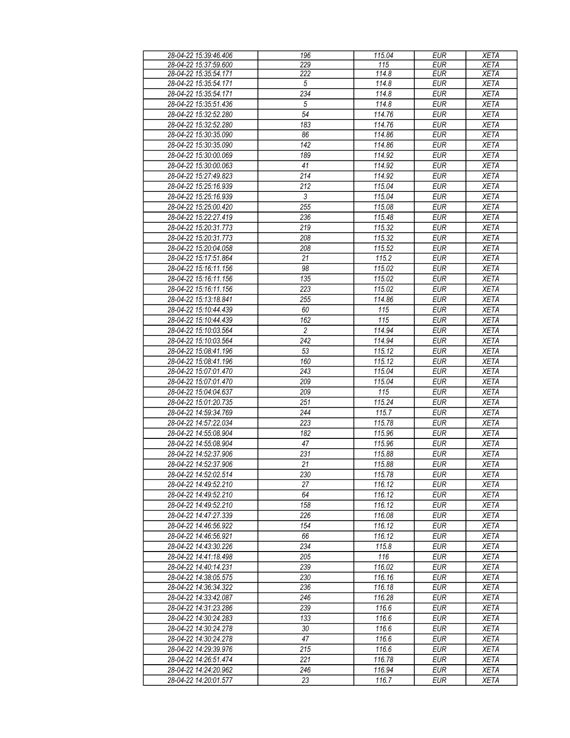| 28-04-22 15:39:46.406 | 196            | 115.04 | <b>EUR</b> | <b>XETA</b> |
|-----------------------|----------------|--------|------------|-------------|
| 28-04-22 15:37:59.600 | 229            | 115    | <b>EUR</b> | <b>XETA</b> |
| 28-04-22 15:35:54.171 | 222            | 114.8  | <b>EUR</b> | <b>XETA</b> |
|                       |                |        |            |             |
| 28-04-22 15:35:54.171 | 5              | 114.8  | <b>EUR</b> | <b>XETA</b> |
| 28-04-22 15:35:54.171 | 234            | 114.8  | <b>EUR</b> | <b>XETA</b> |
| 28-04-22 15:35:51.436 | $\sqrt{5}$     | 114.8  | <b>EUR</b> | <b>XETA</b> |
| 28-04-22 15:32:52.280 | 54             | 114.76 | <b>EUR</b> | <b>XETA</b> |
| 28-04-22 15:32:52.280 | 183            | 114.76 | <b>EUR</b> | <b>XETA</b> |
|                       |                |        |            |             |
| 28-04-22 15:30:35.090 | 86             | 114.86 | <b>EUR</b> | <b>XETA</b> |
| 28-04-22 15:30:35.090 | 142            | 114.86 | <b>EUR</b> | <b>XETA</b> |
| 28-04-22 15:30:00.069 | 189            | 114.92 | <b>EUR</b> | <b>XETA</b> |
| 28-04-22 15:30:00.063 | 41             | 114.92 | <b>EUR</b> | <b>XETA</b> |
| 28-04-22 15:27:49.823 | 214            | 114.92 | <b>EUR</b> | <b>XETA</b> |
|                       |                |        |            |             |
| 28-04-22 15:25:16.939 | 212            | 115.04 | <b>EUR</b> | <b>XETA</b> |
| 28-04-22 15:25:16.939 | 3              | 115.04 | <b>EUR</b> | <b>XETA</b> |
| 28-04-22 15:25:00.420 | 255            | 115.08 | <b>EUR</b> | <b>XETA</b> |
| 28-04-22 15:22:27.419 | 236            | 115.48 | <b>EUR</b> | <b>XETA</b> |
| 28-04-22 15:20:31.773 | 219            | 115.32 | <b>EUR</b> | <b>XETA</b> |
|                       |                |        |            |             |
| 28-04-22 15:20:31.773 | 208            | 115.32 | <b>EUR</b> | <b>XETA</b> |
| 28-04-22 15:20:04.058 | 208            | 115.52 | <b>EUR</b> | <b>XETA</b> |
| 28-04-22 15:17:51.864 | 21             | 115.2  | <b>EUR</b> | <b>XETA</b> |
| 28-04-22 15:16:11.156 | 98             | 115.02 | <b>EUR</b> | <b>XETA</b> |
| 28-04-22 15:16:11.156 | 135            | 115.02 | <b>EUR</b> | <b>XETA</b> |
|                       |                |        |            |             |
| 28-04-22 15:16:11.156 | 223            | 115.02 | <b>EUR</b> | <b>XETA</b> |
| 28-04-22 15:13:18.841 | 255            | 114.86 | <b>EUR</b> | <b>XETA</b> |
| 28-04-22 15:10:44.439 | 60             | 115    | <b>EUR</b> | <b>XETA</b> |
| 28-04-22 15:10:44.439 | 162            | 115    | <b>EUR</b> | <b>XETA</b> |
| 28-04-22 15:10:03.564 | $\overline{c}$ | 114.94 | <b>EUR</b> | <b>XETA</b> |
|                       |                |        |            |             |
| 28-04-22 15:10:03.564 | 242            | 114.94 | <b>EUR</b> | <b>XETA</b> |
| 28-04-22 15:08:41.196 | 53             | 115.12 | <b>EUR</b> | <b>XETA</b> |
| 28-04-22 15:08:41.196 | 160            | 115.12 | <b>EUR</b> | <b>XETA</b> |
| 28-04-22 15:07:01.470 | 243            | 115.04 | <b>EUR</b> | <b>XETA</b> |
| 28-04-22 15:07:01.470 | 209            | 115.04 | <b>EUR</b> | <b>XETA</b> |
|                       |                |        |            |             |
| 28-04-22 15:04:04.637 | 209            | 115    | <b>EUR</b> | <b>XETA</b> |
| 28-04-22 15:01:20.735 | 251            | 115.24 | <b>EUR</b> | <b>XETA</b> |
| 28-04-22 14:59:34.769 | 244            | 115.7  | <b>EUR</b> | <b>XETA</b> |
| 28-04-22 14:57:22.034 | 223            | 115.78 | <b>EUR</b> | <b>XETA</b> |
| 28-04-22 14:55:08.904 | 182            | 115.96 | <b>EUR</b> | <b>XETA</b> |
| 28-04-22 14:55:08.904 | 47             | 115.96 | <b>EUR</b> | <b>XETA</b> |
|                       |                |        |            |             |
| 28-04-22 14:52:37.906 | 231            | 115.88 | <b>EUR</b> | <b>XETA</b> |
| 28-04-22 14:52:37.906 | 21             | 115.88 | <b>EUR</b> | <b>XETA</b> |
| 28-04-22 14:52:02.514 | 230            | 115.78 | <b>EUR</b> | <b>XETA</b> |
| 28-04-22 14:49:52.210 | 27             | 116.12 | <b>EUR</b> | <b>XETA</b> |
| 28-04-22 14:49:52.210 | 64             | 116.12 | <b>EUR</b> | <b>XETA</b> |
| 28-04-22 14:49:52.210 | 158            | 116.12 | <b>EUR</b> | <b>XETA</b> |
|                       |                |        |            |             |
| 28-04-22 14:47:27.339 | 226            | 116.08 | <b>EUR</b> | <b>XETA</b> |
| 28-04-22 14:46:56.922 | 154            | 116.12 | <b>EUR</b> | <b>XETA</b> |
| 28-04-22 14:46:56.921 | 66             | 116.12 | <b>EUR</b> | <b>XETA</b> |
| 28-04-22 14:43:30.226 | 234            | 115.8  | <b>EUR</b> | <b>XETA</b> |
| 28-04-22 14:41:18.498 | 205            | 116    | <b>EUR</b> | <b>XETA</b> |
|                       |                |        |            |             |
| 28-04-22 14:40:14.231 | 239            | 116.02 | <b>EUR</b> | <b>XETA</b> |
| 28-04-22 14:38:05.575 | 230            | 116.16 | <b>EUR</b> | <b>XETA</b> |
| 28-04-22 14:36:34.322 | 236            | 116.18 | <b>EUR</b> | <b>XETA</b> |
| 28-04-22 14:33:42.087 | 246            | 116.28 | <b>EUR</b> | <b>XETA</b> |
| 28-04-22 14:31:23.286 | 239            | 116.6  | <b>EUR</b> | <b>XETA</b> |
|                       |                | 116.6  |            |             |
| 28-04-22 14:30:24.283 | 133            |        | <b>EUR</b> | <b>XETA</b> |
| 28-04-22 14:30:24.278 | 30             | 116.6  | <b>EUR</b> | <b>XETA</b> |
| 28-04-22 14:30:24.278 | 47             | 116.6  | <b>EUR</b> | <b>XETA</b> |
| 28-04-22 14:29:39.976 | 215            | 116.6  | <b>EUR</b> | <b>XETA</b> |
| 28-04-22 14:26:51.474 | 221            | 116.78 | <b>EUR</b> | <b>XETA</b> |
| 28-04-22 14:24:20.962 | 246            | 116.94 | <b>EUR</b> | <b>XETA</b> |
|                       |                |        |            |             |
| 28-04-22 14:20:01.577 | 23             | 116.7  | <b>EUR</b> | <b>XETA</b> |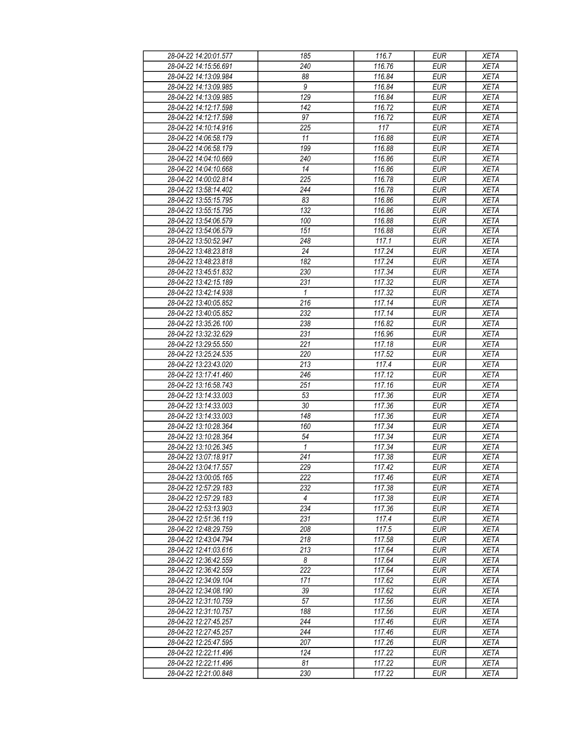| 28-04-22 14:20:01.577 | 185            | 116.7  | <b>EUR</b>               | <b>XETA</b> |
|-----------------------|----------------|--------|--------------------------|-------------|
| 28-04-22 14:15:56.691 | 240            | 116.76 | <b>EUR</b>               | <b>XETA</b> |
| 28-04-22 14:13:09.984 | 88             | 116.84 | <b>EUR</b>               | <b>XETA</b> |
| 28-04-22 14:13:09.985 | $\overline{g}$ | 116.84 | <b>EUR</b>               | <b>XETA</b> |
| 28-04-22 14:13:09.985 | 129            | 116.84 | <b>EUR</b>               | XETA        |
| 28-04-22 14:12:17.598 | 142            | 116.72 | <b>EUR</b>               | <b>XETA</b> |
| 28-04-22 14:12:17.598 | 97             | 116.72 | <b>EUR</b>               | <b>XETA</b> |
| 28-04-22 14:10:14.916 | 225            | 117    | <b>EUR</b>               | <b>XETA</b> |
|                       | 11             |        |                          |             |
| 28-04-22 14:06:58.179 |                | 116.88 | <b>EUR</b>               | <b>XETA</b> |
| 28-04-22 14:06:58.179 | 199            | 116.88 | <b>EUR</b>               | <b>XETA</b> |
| 28-04-22 14:04:10.669 | 240            | 116.86 | <b>EUR</b>               | <b>XETA</b> |
| 28-04-22 14:04:10.668 | 14             | 116.86 | <b>EUR</b>               | <b>XETA</b> |
| 28-04-22 14:00:02.814 | 225            | 116.78 | <b>EUR</b>               | <b>XETA</b> |
| 28-04-22 13:58:14.402 | 244            | 116.78 | <b>EUR</b>               | <b>XETA</b> |
| 28-04-22 13:55:15.795 | 83             | 116.86 | <b>EUR</b>               | <b>XETA</b> |
| 28-04-22 13:55:15.795 | 132            | 116.86 | <b>EUR</b>               | <b>XETA</b> |
| 28-04-22 13:54:06.579 | 100            | 116.88 | EUR                      | <b>XETA</b> |
| 28-04-22 13:54:06.579 | 151            | 116.88 | <b>EUR</b>               | <b>XETA</b> |
| 28-04-22 13:50:52.947 | 248            | 117.1  | <b>EUR</b>               | <b>XETA</b> |
| 28-04-22 13:48:23.818 | 24             | 117.24 | <b>EUR</b>               | <b>XETA</b> |
| 28-04-22 13:48:23.818 | 182            | 117.24 | <b>EUR</b>               | <b>XETA</b> |
| 28-04-22 13:45:51.832 | 230            | 117.34 | <b>EUR</b>               | <b>XETA</b> |
| 28-04-22 13:42:15.189 | 231            | 117.32 | <b>EUR</b>               | <b>XETA</b> |
| 28-04-22 13:42:14.938 | $\mathbf{1}$   | 117.32 | <b>EUR</b>               | <b>XETA</b> |
| 28-04-22 13:40:05.852 | 216            | 117.14 | <b>EUR</b>               | <b>XETA</b> |
| 28-04-22 13:40:05.852 | 232            | 117.14 | <b>EUR</b>               | <b>XETA</b> |
| 28-04-22 13:35:26.100 | 238            | 116.82 | <b>EUR</b>               | <b>XETA</b> |
| 28-04-22 13:32:32.629 | 231            | 116.96 | <b>EUR</b>               | <b>XETA</b> |
| 28-04-22 13:29:55.550 | 221            | 117.18 | <b>EUR</b>               | <b>XETA</b> |
| 28-04-22 13:25:24.535 | 220            | 117.52 | <b>EUR</b>               | XETA        |
|                       |                |        |                          |             |
| 28-04-22 13:23:43.020 | 213            | 117.4  | <b>EUR</b><br><b>EUR</b> | <b>XETA</b> |
| 28-04-22 13:17:41.460 | 246            | 117.12 |                          | <b>XETA</b> |
| 28-04-22 13:16:58.743 | 251            | 117.16 | <b>EUR</b>               | <b>XETA</b> |
| 28-04-22 13:14:33.003 | 53             | 117.36 | <b>EUR</b>               | <b>XETA</b> |
| 28-04-22 13:14:33.003 | 30             | 117.36 | <b>EUR</b>               | <b>XETA</b> |
| 28-04-22 13:14:33.003 | 148            | 117.36 | <b>EUR</b>               | <b>XETA</b> |
| 28-04-22 13:10:28.364 | 160            | 117.34 | <b>EUR</b>               | <b>XETA</b> |
| 28-04-22 13:10:28.364 | 54             | 117.34 | <b>EUR</b>               | <b>XETA</b> |
| 28-04-22 13:10:26.345 | $\mathbf{1}$   | 117.34 | <b>EUR</b>               | <b>XETA</b> |
| 28-04-22 13:07:18.917 | 241            | 117.38 | <b>EUR</b>               | <b>XETA</b> |
| 28-04-22 13:04:17.557 | 229            | 117.42 | <b>EUR</b>               | <b>XETA</b> |
| 28-04-22 13:00:05.165 | 222            | 117.46 | <b>EUR</b>               | <b>XETA</b> |
| 28-04-22 12:57:29.183 | 232            | 117.38 | <b>EUR</b>               | <b>XETA</b> |
| 28-04-22 12:57:29.183 | 4              | 117.38 | <b>EUR</b>               | <b>XETA</b> |
| 28-04-22 12:53:13.903 | 234            | 117.36 | <b>EUR</b>               | <b>XETA</b> |
| 28-04-22 12:51:36.119 | 231            | 117.4  | <b>EUR</b>               | <b>XETA</b> |
| 28-04-22 12:48:29.759 | 208            | 117.5  | <b>EUR</b>               | <b>XETA</b> |
| 28-04-22 12:43:04.794 | 218            | 117.58 | <b>EUR</b>               | <b>XETA</b> |
| 28-04-22 12:41:03.616 | 213            | 117.64 | <b>EUR</b>               | <b>XETA</b> |
| 28-04-22 12:36:42.559 | 8              | 117.64 | <b>EUR</b>               | <b>XETA</b> |
| 28-04-22 12:36:42.559 | 222            | 117.64 | <b>EUR</b>               | <b>XETA</b> |
| 28-04-22 12:34:09.104 | 171            | 117.62 | <b>EUR</b>               | <b>XETA</b> |
| 28-04-22 12:34:08.190 | 39             | 117.62 | <b>EUR</b>               | <b>XETA</b> |
| 28-04-22 12:31:10.759 | 57             | 117.56 | <b>EUR</b>               | <b>XETA</b> |
| 28-04-22 12:31:10.757 | 188            | 117.56 | <b>EUR</b>               | <b>XETA</b> |
| 28-04-22 12:27:45.257 | 244            | 117.46 | <b>EUR</b>               | <b>XETA</b> |
| 28-04-22 12:27:45.257 | 244            | 117.46 | <b>EUR</b>               | <b>XETA</b> |
| 28-04-22 12:25:47.595 | 207            | 117.26 | <b>EUR</b>               | <b>XETA</b> |
|                       |                |        |                          |             |
| 28-04-22 12:22:11.496 | 124<br>81      | 117.22 | <b>EUR</b>               | <b>XETA</b> |
| 28-04-22 12:22:11.496 |                | 117.22 | <b>EUR</b>               | <b>XETA</b> |
| 28-04-22 12:21:00.848 | 230            | 117.22 | <b>EUR</b>               | <b>XETA</b> |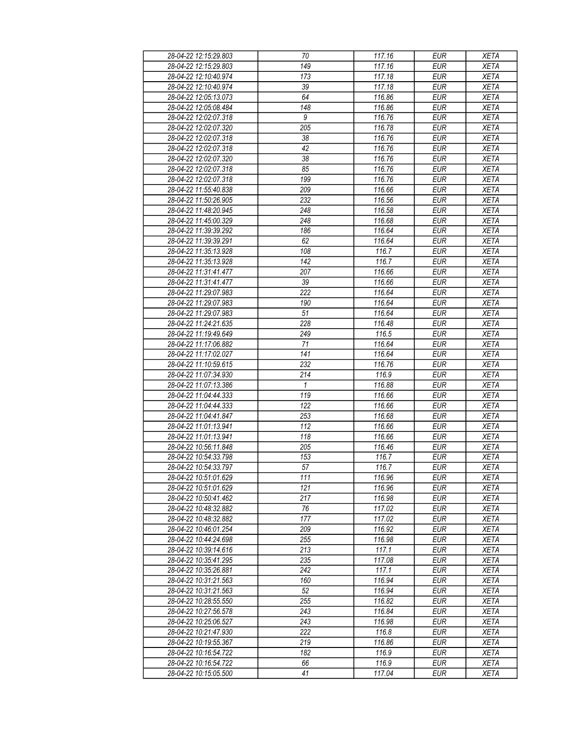| 28-04-22 12:15:29.803 | 70           | 117.16 | <b>EUR</b> | <b>XETA</b> |
|-----------------------|--------------|--------|------------|-------------|
| 28-04-22 12:15:29.803 | 149          | 117.16 | <b>EUR</b> | <b>XETA</b> |
| 28-04-22 12:10:40.974 | 173          | 117.18 | <b>EUR</b> | <b>XETA</b> |
| 28-04-22 12:10:40.974 | 39           | 117.18 | <b>EUR</b> | <b>XETA</b> |
|                       |              |        | <b>EUR</b> |             |
| 28-04-22 12:05:13.073 | 64           | 116.86 |            | <b>XETA</b> |
| 28-04-22 12:05:08.484 | 148          | 116.86 | <b>EUR</b> | <b>XETA</b> |
| 28-04-22 12:02:07.318 | 9            | 116.76 | <b>EUR</b> | <b>XETA</b> |
| 28-04-22 12:02:07.320 | 205          | 116.78 | <b>EUR</b> | <b>XETA</b> |
| 28-04-22 12:02:07.318 | 38           | 116.76 | <b>EUR</b> | <b>XETA</b> |
| 28-04-22 12:02:07.318 | 42           | 116.76 | <b>EUR</b> | <b>XETA</b> |
| 28-04-22 12:02:07.320 |              |        |            |             |
|                       | 38           | 116.76 | <b>EUR</b> | <b>XETA</b> |
| 28-04-22 12:02:07.318 | 85           | 116.76 | <b>EUR</b> | <b>XETA</b> |
| 28-04-22 12:02:07.318 | 199          | 116.76 | <b>EUR</b> | <b>XETA</b> |
| 28-04-22 11:55:40.838 | 209          | 116.66 | <b>EUR</b> | <b>XETA</b> |
| 28-04-22 11:50:26.905 | 232          | 116.56 | <b>EUR</b> | <b>XETA</b> |
| 28-04-22 11:48:20.945 | 248          | 116.58 | <b>EUR</b> | <b>XETA</b> |
| 28-04-22 11:45:00.329 | 248          | 116.68 | <b>EUR</b> | <b>XETA</b> |
| 28-04-22 11:39:39.292 |              |        |            |             |
|                       | 186          | 116.64 | <b>EUR</b> | <b>XETA</b> |
| 28-04-22 11:39:39.291 | 62           | 116.64 | <b>EUR</b> | <b>XETA</b> |
| 28-04-22 11:35:13.928 | 108          | 116.7  | <b>EUR</b> | <b>XETA</b> |
| 28-04-22 11:35:13.928 | 142          | 116.7  | <b>EUR</b> | <b>XETA</b> |
| 28-04-22 11:31:41.477 | 207          | 116.66 | <b>EUR</b> | <b>XETA</b> |
| 28-04-22 11:31:41.477 | 39           | 116.66 | <b>EUR</b> | <b>XETA</b> |
| 28-04-22 11:29:07.983 | 222          | 116.64 | <b>EUR</b> | <b>XETA</b> |
| 28-04-22 11:29:07.983 |              |        |            |             |
|                       | 190          | 116.64 | <b>EUR</b> | <b>XETA</b> |
| 28-04-22 11:29:07.983 | 51           | 116.64 | <b>EUR</b> | <b>XETA</b> |
| 28-04-22 11:24:21.635 | 228          | 116.48 | <b>EUR</b> | <b>XETA</b> |
| 28-04-22 11:19:49.649 | 249          | 116.5  | <b>EUR</b> | <b>XETA</b> |
| 28-04-22 11:17:06.882 | 71           | 116.64 | <b>EUR</b> | <b>XETA</b> |
| 28-04-22 11:17:02.027 | 141          | 116.64 | <b>EUR</b> | <b>XETA</b> |
| 28-04-22 11:10:59.615 | 232          | 116.76 | <b>EUR</b> | <b>XETA</b> |
|                       |              |        |            |             |
| 28-04-22 11:07:34.930 | 214          | 116.9  | <b>EUR</b> | <b>XETA</b> |
| 28-04-22 11:07:13.386 | $\mathbf{1}$ | 116.88 | <b>EUR</b> | <b>XETA</b> |
| 28-04-22 11:04:44.333 | 119          | 116.66 | <b>EUR</b> | <b>XETA</b> |
| 28-04-22 11:04:44.333 | 122          | 116.66 | <b>EUR</b> | <b>XETA</b> |
| 28-04-22 11:04:41.847 | 253          | 116.68 | <b>EUR</b> | <b>XETA</b> |
| 28-04-22 11:01:13.941 | 112          | 116.66 | <b>EUR</b> | <b>XETA</b> |
| 28-04-22 11:01:13.941 | 118          | 116.66 | <b>EUR</b> | <b>XETA</b> |
|                       |              |        |            | <b>XETA</b> |
| 28-04-22 10:56:11.848 | 205          | 116.46 | <b>EUR</b> |             |
| 28-04-22 10:54:33.798 | 153          | 116.7  | <b>EUR</b> | <b>XETA</b> |
| 28-04-22 10:54:33.797 | 57           | 116.7  | <b>EUR</b> | <b>XETA</b> |
| 28-04-22 10:51:01.629 | 111          | 116.96 | <b>EUR</b> | <b>XETA</b> |
| 28-04-22 10:51:01.629 | 121          | 116.96 | <b>EUR</b> | <b>XETA</b> |
| 28-04-22 10:50:41.462 | 217          | 116.98 | <b>EUR</b> | <b>XETA</b> |
| 28-04-22 10:48:32.882 | 76           | 117.02 | <b>EUR</b> | <b>XETA</b> |
| 28-04-22 10:48:32.882 | 177          | 117.02 | <b>EUR</b> | <b>XETA</b> |
|                       |              |        |            |             |
| 28-04-22 10:46:01.254 | 209          | 116.92 | <b>EUR</b> | <b>XETA</b> |
| 28-04-22 10:44:24.698 | 255          | 116.98 | <b>EUR</b> | <b>XETA</b> |
| 28-04-22 10:39:14.616 | 213          | 117.1  | <b>EUR</b> | <b>XETA</b> |
| 28-04-22 10:35:41.295 | 235          | 117.08 | <b>EUR</b> | <b>XETA</b> |
| 28-04-22 10:35:26.881 | 242          | 117.1  | <b>EUR</b> | <b>XETA</b> |
| 28-04-22 10:31:21.563 | 160          | 116.94 | <b>EUR</b> | <b>XETA</b> |
| 28-04-22 10:31:21.563 | 52           | 116.94 | <b>EUR</b> | <b>XETA</b> |
|                       |              |        |            |             |
| 28-04-22 10:28:55.550 | 255          | 116.82 | <b>EUR</b> | <b>XETA</b> |
| 28-04-22 10:27:56.578 | 243          | 116.84 | <b>EUR</b> | <b>XETA</b> |
| 28-04-22 10:25:06.527 | 243          | 116.98 | <b>EUR</b> | <b>XETA</b> |
| 28-04-22 10:21:47.930 | 222          | 116.8  | <b>EUR</b> | <b>XETA</b> |
| 28-04-22 10:19:55.367 | 219          | 116.86 | <b>EUR</b> | <b>XETA</b> |
| 28-04-22 10:16:54.722 | 182          | 116.9  | <b>EUR</b> | <b>XETA</b> |
| 28-04-22 10:16:54.722 | 66           | 116.9  | <b>EUR</b> | <b>XETA</b> |
| 28-04-22 10:15:05.500 | 41           | 117.04 | <b>EUR</b> |             |
|                       |              |        |            | <b>XETA</b> |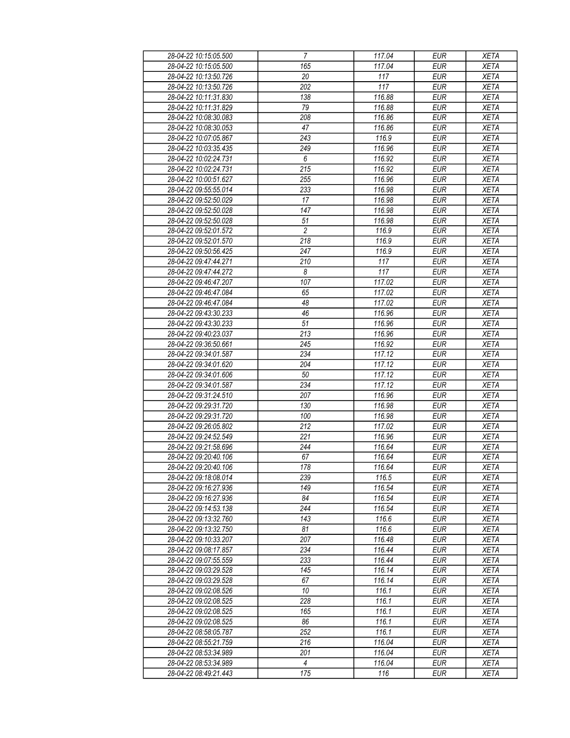| 28-04-22 10:15:05.500 | $\overline{7}$   | 117.04             | <b>EUR</b> | <b>XETA</b> |
|-----------------------|------------------|--------------------|------------|-------------|
| 28-04-22 10:15:05.500 | 165              | 117.04             | <b>EUR</b> | <b>XETA</b> |
| 28-04-22 10:13:50.726 | $\overline{20}$  | 117                | <b>EUR</b> | <b>XETA</b> |
| 28-04-22 10:13:50.726 | 202              | 117                | <b>EUR</b> | <b>XETA</b> |
| 28-04-22 10:11:31.830 | 138              | 116.88             | <b>EUR</b> | XETA        |
| 28-04-22 10:11:31.829 | 79               | 116.88             | <b>EUR</b> | <b>XETA</b> |
| 28-04-22 10:08:30.083 | 208              | 116.86             | <b>EUR</b> | <b>XETA</b> |
|                       | 47               | 116.86             | <b>EUR</b> | <b>XETA</b> |
| 28-04-22 10:08:30.053 |                  |                    |            |             |
| 28-04-22 10:07:05.867 | 243              | 116.9              | <b>EUR</b> | <b>XETA</b> |
| 28-04-22 10:03:35.435 | 249              | 116.96             | <b>EUR</b> | <b>XETA</b> |
| 28-04-22 10:02:24.731 | 6                | 116.92             | <b>EUR</b> | <b>XETA</b> |
| 28-04-22 10:02:24.731 | 215              | 116.92             | <b>EUR</b> | <b>XETA</b> |
| 28-04-22 10:00:51.627 | 255              | 116.96             | <b>EUR</b> | <b>XETA</b> |
| 28-04-22 09:55:55.014 | 233              | 116.98             | <b>EUR</b> | <b>XETA</b> |
| 28-04-22 09:52:50.029 | 17               | 116.98             | <b>EUR</b> | <b>XETA</b> |
| 28-04-22 09:52:50.028 | 147              | 116.98             | <b>EUR</b> | <b>XETA</b> |
| 28-04-22 09:52:50.028 | 51               | 116.98             | EUR        | <b>XETA</b> |
| 28-04-22 09:52:01.572 | $\overline{c}$   | 116.9              | <b>EUR</b> | <b>XETA</b> |
| 28-04-22 09:52:01.570 | 218              | 116.9              | <b>EUR</b> | <b>XETA</b> |
| 28-04-22 09:50:56.425 | 247              | 116.9              | <b>EUR</b> | <b>XETA</b> |
| 28-04-22 09:47:44.271 | 210              | 117                | <b>EUR</b> | <b>XETA</b> |
| 28-04-22 09:47:44.272 | 8                | 117                | <b>EUR</b> | <b>XETA</b> |
| 28-04-22 09:46:47.207 | 107              | 117.02             | <b>EUR</b> | <b>XETA</b> |
| 28-04-22 09:46:47.084 | 65               | 117.02             | <b>EUR</b> | <b>XETA</b> |
| 28-04-22 09:46:47.084 | 48               | 117.02             | <b>EUR</b> | <b>XETA</b> |
| 28-04-22 09:43:30.233 | $\overline{46}$  | 116.96             | <b>EUR</b> | <b>XETA</b> |
| 28-04-22 09:43:30.233 | 51               | 116.96             | <b>EUR</b> | <b>XETA</b> |
| 28-04-22 09:40:23.037 | $\overline{213}$ | 116.96             | <b>EUR</b> | <b>XETA</b> |
| 28-04-22 09:36:50.661 | 245              | 116.92             | <b>EUR</b> | <b>XETA</b> |
| 28-04-22 09:34:01.587 | 234              | 117.12             | <b>EUR</b> | XETA        |
| 28-04-22 09:34:01.620 | 204              | 117.12             | <b>EUR</b> | <b>XETA</b> |
| 28-04-22 09:34:01.606 | 50               | 117.12             | <b>EUR</b> | <b>XETA</b> |
|                       | 234              | 117.12             | <b>EUR</b> |             |
| 28-04-22 09:34:01.587 | 207              |                    |            | <b>XETA</b> |
| 28-04-22 09:31:24.510 |                  | 116.96             | <b>EUR</b> | <b>XETA</b> |
| 28-04-22 09:29:31.720 | 130              | 116.98             | <b>EUR</b> | <b>XETA</b> |
| 28-04-22 09:29:31.720 | 100              | 116.98             | <b>EUR</b> | <b>XETA</b> |
| 28-04-22 09:26:05.802 | 212              | 117.02             | <b>EUR</b> | <b>XETA</b> |
| 28-04-22 09:24:52.549 | 221              | 116.96             | <b>EUR</b> | <b>XETA</b> |
| 28-04-22 09:21:58.696 | 244              | 116.64             | <b>EUR</b> | <b>XETA</b> |
| 28-04-22 09:20:40.106 | 67               | 116.64             | <b>EUR</b> | <b>XETA</b> |
| 28-04-22 09:20:40.106 | 178              | 116.64             | <b>EUR</b> | <b>XETA</b> |
| 28-04-22 09:18:08.014 | 239              | 116.5              | <b>EUR</b> | <b>XETA</b> |
| 28-04-22 09:16:27.936 | 149              | 116.54             | <b>EUR</b> | <b>XETA</b> |
| 28-04-22 09:16:27.936 | 84               | 116.54             | <b>EUR</b> | <b>XETA</b> |
| 28-04-22 09:14:53.138 | 244              | 116.54             | <b>EUR</b> | <b>XETA</b> |
| 28-04-22 09:13:32.760 | 143              | 116.6              | <b>EUR</b> | <b>XETA</b> |
| 28-04-22 09:13:32.750 | 81               | 116.6              | <b>EUR</b> | <b>XETA</b> |
| 28-04-22 09:10:33.207 | 207              | 116.48             | <b>EUR</b> | <b>XETA</b> |
| 28-04-22 09:08:17.857 | 234              | 116.44             | <b>EUR</b> | <b>XETA</b> |
| 28-04-22 09:07:55.559 | 233              | 116.44             | <b>EUR</b> | <b>XETA</b> |
| 28-04-22 09:03:29.528 | 145              | 116.14             | <b>EUR</b> | <b>XETA</b> |
| 28-04-22 09:03:29.528 | 67               | 116.14             | <b>EUR</b> | <b>XETA</b> |
| 28-04-22 09:02:08.526 | 10               | 116.1              | <b>EUR</b> | <b>XETA</b> |
| 28-04-22 09:02:08.525 | 228              | $\overline{116.1}$ | <b>EUR</b> | <b>XETA</b> |
| 28-04-22 09:02:08.525 | 165              | 116.1              | <b>EUR</b> | <b>XETA</b> |
| 28-04-22 09:02:08.525 | 86               | 116.1              | <b>EUR</b> | <b>XETA</b> |
| 28-04-22 08:58:05.787 | 252              | 116.1              | <b>EUR</b> | <b>XETA</b> |
| 28-04-22 08:55:21.759 | 216              | 116.04             | <b>EUR</b> | <b>XETA</b> |
| 28-04-22 08:53:34.989 | 201              | 116.04             | <b>EUR</b> | <b>XETA</b> |
| 28-04-22 08:53:34.989 | $\overline{4}$   | 116.04             | <b>EUR</b> | <b>XETA</b> |
| 28-04-22 08:49:21.443 | 175              | 116                | <b>EUR</b> | <b>XETA</b> |
|                       |                  |                    |            |             |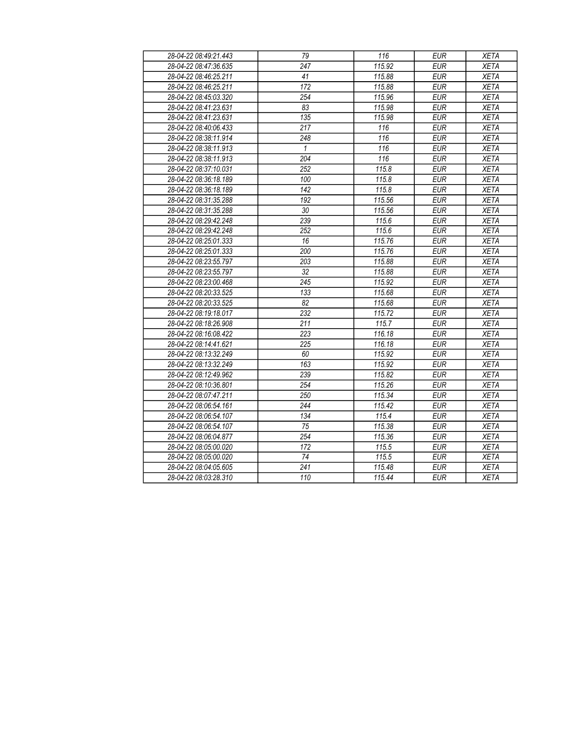| 28-04-22 08:49:21.443 | 79  | 116    | <b>EUR</b> | <b>XETA</b> |
|-----------------------|-----|--------|------------|-------------|
| 28-04-22 08:47:36.635 | 247 | 115.92 | <b>EUR</b> | <b>XETA</b> |
| 28-04-22 08:46:25.211 | 41  | 115.88 | <b>EUR</b> | <b>XETA</b> |
| 28-04-22 08:46:25.211 | 172 | 115.88 | <b>EUR</b> | <b>XETA</b> |
| 28-04-22 08:45:03.320 | 254 | 115.96 | <b>EUR</b> | <b>XETA</b> |
| 28-04-22 08:41:23.631 | 83  | 115.98 | <b>EUR</b> | <b>XETA</b> |
| 28-04-22 08:41:23.631 | 135 | 115.98 | <b>EUR</b> | <b>XETA</b> |
| 28-04-22 08:40:06.433 | 217 | 116    | <b>EUR</b> | <b>XETA</b> |
| 28-04-22 08:38:11.914 | 248 | 116    | <b>EUR</b> | <b>XETA</b> |
| 28-04-22 08:38:11.913 | 1   | 116    | <b>EUR</b> | <b>XETA</b> |
| 28-04-22 08:38:11.913 | 204 | 116    | <b>EUR</b> | <b>XETA</b> |
| 28-04-22 08:37:10.031 | 252 | 115.8  | <b>EUR</b> | <b>XETA</b> |
| 28-04-22 08:36:18.189 | 100 | 115.8  | <b>EUR</b> | <b>XETA</b> |
| 28-04-22 08:36:18.189 | 142 | 115.8  | <b>EUR</b> | <b>XETA</b> |
| 28-04-22 08:31:35.288 | 192 | 115.56 | <b>EUR</b> | <b>XETA</b> |
| 28-04-22 08:31:35.288 | 30  | 115.56 | <b>EUR</b> | <b>XETA</b> |
| 28-04-22 08:29:42.248 | 239 | 115.6  | <b>EUR</b> | <b>XETA</b> |
| 28-04-22 08:29:42.248 | 252 | 115.6  | <b>EUR</b> | <b>XETA</b> |
| 28-04-22 08:25:01.333 | 16  | 115.76 | <b>EUR</b> | <b>XETA</b> |
| 28-04-22 08:25:01.333 | 200 | 115.76 | <b>EUR</b> | <b>XETA</b> |
| 28-04-22 08:23:55.797 | 203 | 115.88 | <b>EUR</b> | <b>XETA</b> |
| 28-04-22 08:23:55 797 | 32  | 115.88 | <b>EUR</b> | <b>XETA</b> |
| 28-04-22 08:23:00.468 | 245 | 115.92 | <b>EUR</b> | <b>XETA</b> |
| 28-04-22 08:20:33.525 | 133 | 115.68 | <b>EUR</b> | <b>XETA</b> |
| 28-04-22 08:20:33.525 | 82  | 115.68 | <b>EUR</b> | <b>XETA</b> |
| 28-04-22 08:19:18.017 | 232 | 115.72 | <b>EUR</b> | <b>XETA</b> |
| 28-04-22 08:18:26.908 | 211 | 115.7  | <b>EUR</b> | <b>XETA</b> |
| 28-04-22 08:16:08.422 | 223 | 116.18 | <b>EUR</b> | <b>XETA</b> |
| 28-04-22 08:14:41.621 | 225 | 116.18 | <b>EUR</b> | <b>XETA</b> |
| 28-04-22 08:13:32.249 | 60  | 115.92 | <b>EUR</b> | <b>XETA</b> |
| 28-04-22 08:13:32.249 | 163 | 115.92 | <b>EUR</b> | <b>XETA</b> |
| 28-04-22 08:12:49.962 | 239 | 115.82 | <b>EUR</b> | <b>XETA</b> |
| 28-04-22 08:10:36.801 | 254 | 115.26 | <b>EUR</b> | <b>XETA</b> |
| 28-04-22 08:07:47.211 | 250 | 115.34 | <b>EUR</b> | <b>XETA</b> |
| 28-04-22 08:06:54.161 | 244 | 115.42 | <b>EUR</b> | <b>XETA</b> |
| 28-04-22 08:06:54.107 | 134 | 115.4  | <b>EUR</b> | <b>XETA</b> |
| 28-04-22 08:06:54.107 | 75  | 115.38 | <b>EUR</b> | <b>XETA</b> |
| 28-04-22 08:06:04.877 | 254 | 115.36 | <b>EUR</b> | <b>XETA</b> |
| 28-04-22 08:05:00.020 | 172 | 115.5  | <b>EUR</b> | <b>XETA</b> |
| 28-04-22 08:05:00.020 | 74  | 115.5  | <b>EUR</b> | <b>XETA</b> |
| 28-04-22 08:04:05.605 | 241 | 115.48 | <b>EUR</b> | <b>XETA</b> |
| 28-04-22 08:03:28.310 | 110 | 115.44 | <b>EUR</b> | <b>XETA</b> |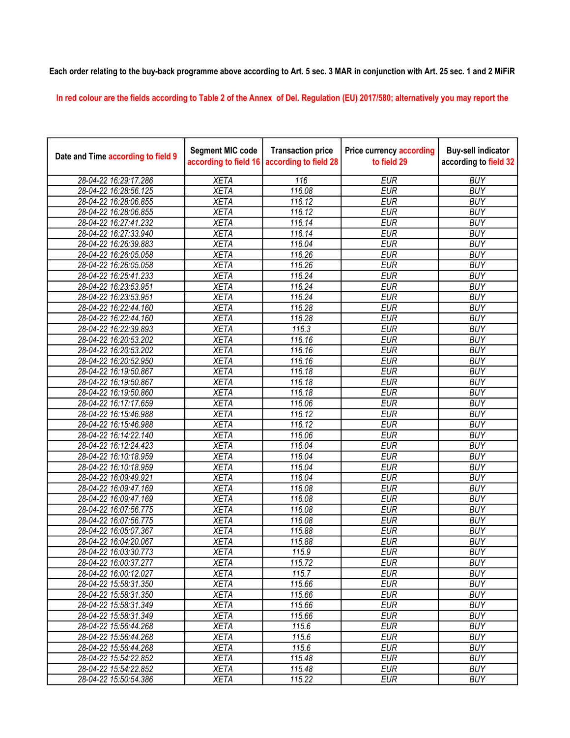## Each order relating to the buy-back programme above according to Art. 5 sec. 3 MAR in conjunction with Art. 25 sec. 1 and 2 MiFiR

In red colour are the fields according to Table 2 of the Annex of Del. Regulation (EU) 2017/580; alternatively you may report the

| Date and Time according to field 9 | <b>Segment MIC code</b><br>according to field 16 | <b>Transaction price</b><br>according to field 28 | <b>Price currency according</b><br>to field 29 | <b>Buy-sell indicator</b><br>according to field 32 |
|------------------------------------|--------------------------------------------------|---------------------------------------------------|------------------------------------------------|----------------------------------------------------|
| 28-04-22 16:29:17.286              | <b>XETA</b>                                      | 116                                               | <b>EUR</b>                                     | <b>BUY</b>                                         |
| 28-04-22 16:28:56.125              | <b>XETA</b>                                      | 116.08                                            | <b>EUR</b>                                     | <b>BUY</b>                                         |
| 28-04-22 16:28:06.855              | <b>XETA</b>                                      | 116.12                                            | <b>EUR</b>                                     | <b>BUY</b>                                         |
| 28-04-22 16:28:06.855              | <b>XETA</b>                                      | 116.12                                            | <b>EUR</b>                                     | <b>BUY</b>                                         |
| 28-04-22 16:27:41.232              | <b>XETA</b>                                      | 116.14                                            | <b>EUR</b>                                     | <b>BUY</b>                                         |
| 28-04-22 16:27:33.940              | <b>XETA</b>                                      | 116.14                                            | <b>EUR</b>                                     | <b>BUY</b>                                         |
| 28-04-22 16:26:39.883              | <b>XETA</b>                                      | 116.04                                            | <b>EUR</b>                                     | <b>BUY</b>                                         |
| 28-04-22 16:26:05.058              | <b>XETA</b>                                      | 116.26                                            | <b>EUR</b>                                     | <b>BUY</b>                                         |
| 28-04-22 16:26:05.058              | <b>XETA</b>                                      | $\overline{116.26}$                               | <b>EUR</b>                                     | <b>BUY</b>                                         |
| 28-04-22 16:25:41.233              | <b>XETA</b>                                      | 116.24                                            | <b>EUR</b>                                     | <b>BUY</b>                                         |
| 28-04-22 16:23:53.951              | <b>XETA</b>                                      | 116.24                                            | <b>EUR</b>                                     | <b>BUY</b>                                         |
| 28-04-22 16:23:53.951              | <b>XETA</b>                                      | 116.24                                            | <b>EUR</b>                                     | <b>BUY</b>                                         |
| 28-04-22 16:22:44.160              | <b>XETA</b>                                      | 116.28                                            | <b>EUR</b>                                     | <b>BUY</b>                                         |
| 28-04-22 16:22:44.160              | <b>XETA</b>                                      | 116.28                                            | <b>EUR</b>                                     | <b>BUY</b>                                         |
| 28-04-22 16:22:39.893              | <b>XETA</b>                                      | 116.3                                             | <b>EUR</b>                                     | <b>BUY</b>                                         |
| 28-04-22 16:20:53.202              | <b>XETA</b>                                      | 116.16                                            | <b>EUR</b>                                     | <b>BUY</b>                                         |
| 28-04-22 16:20:53.202              | <b>XETA</b>                                      | 116.16                                            | <b>EUR</b>                                     | <b>BUY</b>                                         |
| 28-04-22 16:20:52.950              | <b>XETA</b>                                      | 116.16                                            | <b>EUR</b>                                     | <b>BUY</b>                                         |
| 28-04-22 16:19:50.867              | <b>XETA</b>                                      | 116.18                                            | <b>EUR</b>                                     | <b>BUY</b>                                         |
| 28-04-22 16:19:50.867              | <b>XETA</b>                                      | 116.18                                            | <b>EUR</b>                                     | <b>BUY</b>                                         |
| 28-04-22 16:19:50.860              | <b>XETA</b>                                      | 116.18                                            | <b>EUR</b>                                     | <b>BUY</b>                                         |
| 28-04-22 16:17:17.659              | <b>XETA</b>                                      | 116.06                                            | <b>EUR</b>                                     | <b>BUY</b>                                         |
| 28-04-22 16:15:46.988              | <b>XETA</b>                                      | 116.12                                            | <b>EUR</b>                                     | <b>BUY</b>                                         |
| 28-04-22 16:15:46.988              | <b>XETA</b>                                      | 116.12                                            | <b>EUR</b>                                     | <b>BUY</b>                                         |
| 28-04-22 16:14:22.140              | <b>XETA</b>                                      | 116.06                                            | <b>EUR</b>                                     | <b>BUY</b>                                         |
| 28-04-22 16:12:24.423              | <b>XETA</b>                                      | 116.04                                            | <b>EUR</b>                                     | <b>BUY</b>                                         |
| 28-04-22 16:10:18.959              | <b>XETA</b>                                      | 116.04                                            | <b>EUR</b>                                     | <b>BUY</b>                                         |
| 28-04-22 16:10:18.959              | <b>XETA</b>                                      | 116.04                                            | <b>EUR</b>                                     | <b>BUY</b>                                         |
| 28-04-22 16:09:49.921              | <b>XETA</b>                                      | 116.04                                            | <b>EUR</b>                                     | <b>BUY</b>                                         |
| 28-04-22 16:09:47.169              | <b>XETA</b>                                      | 116.08                                            | <b>EUR</b>                                     | <b>BUY</b>                                         |
| 28-04-22 16:09:47.169              | <b>XETA</b>                                      | 116.08                                            | <b>EUR</b>                                     | <b>BUY</b>                                         |
| 28-04-22 16:07:56.775              | <b>XETA</b>                                      | 116.08                                            | <b>EUR</b>                                     | <b>BUY</b>                                         |
| 28-04-22 16:07:56.775              | <b>XETA</b>                                      | 116.08                                            | <b>EUR</b>                                     | <b>BUY</b>                                         |
| 28-04-22 16:05:07.367              | <b>XETA</b>                                      | 115.88                                            | <b>EUR</b>                                     | <b>BUY</b>                                         |
| 28-04-22 16:04:20.067              | <b>XETA</b>                                      | 115.88                                            | <b>EUR</b>                                     | <b>BUY</b>                                         |
| 28-04-22 16:03:30.773              | <b>XETA</b>                                      | 115.9                                             | <b>EUR</b>                                     | <b>BUY</b>                                         |
| 28-04-22 16:00:37.277              | <b>XETA</b>                                      | 115.72                                            | <b>EUR</b>                                     | <b>BUY</b>                                         |
| 28-04-22 16:00:12.027              | <b>XETA</b>                                      | 115.7                                             | <b>EUR</b>                                     | <b>BUY</b>                                         |
| 28-04-22 15:58:31.350              | <b>XETA</b>                                      | 115.66                                            | <b>EUR</b>                                     | <b>BUY</b>                                         |
| 28-04-22 15:58:31.350              | <b>XETA</b>                                      | 115.66                                            | <b>EUR</b>                                     | <b>BUY</b>                                         |
| 28-04-22 15:58:31.349              | <b>XETA</b>                                      | 115.66                                            | <b>EUR</b>                                     | <b>BUY</b>                                         |
| 28-04-22 15:58:31.349              | <b>XETA</b>                                      | 115.66                                            | <b>EUR</b>                                     | <b>BUY</b>                                         |
| 28-04-22 15:56:44.268              | <b>XETA</b>                                      | 115.6                                             | <b>EUR</b>                                     | <b>BUY</b>                                         |
| 28-04-22 15:56:44.268              | <b>XETA</b>                                      | 115.6                                             | <b>EUR</b>                                     | <b>BUY</b>                                         |
| 28-04-22 15:56:44.268              | <b>XETA</b>                                      | 115.6                                             | <b>EUR</b>                                     | <b>BUY</b>                                         |
| 28-04-22 15:54:22.852              | <b>XETA</b>                                      | 115.48                                            | <b>EUR</b>                                     | <b>BUY</b>                                         |
| 28-04-22 15:54:22.852              | <b>XETA</b>                                      | 115.48                                            | <b>EUR</b>                                     | <b>BUY</b>                                         |
| 28-04-22 15:50:54.386              | <b>XETA</b>                                      | 115.22                                            | <b>EUR</b>                                     | <b>BUY</b>                                         |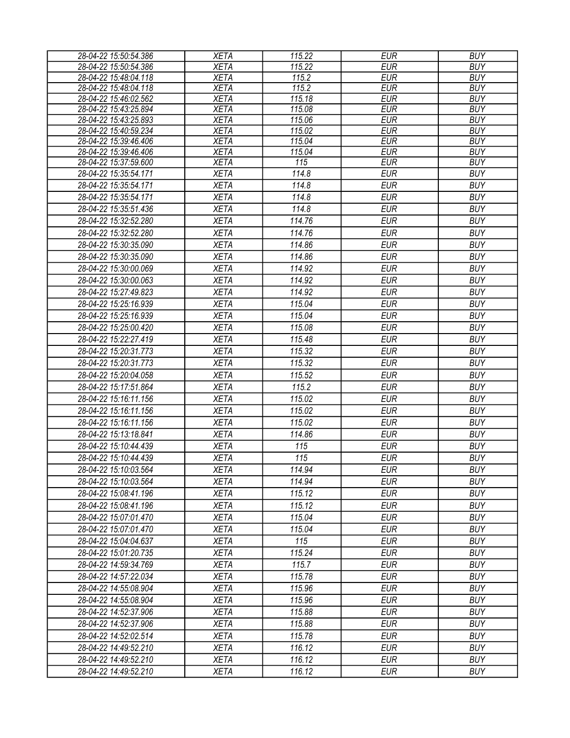| 28-04-22 15:50:54.386                          | <b>XETA</b>                | 115.22                     | <b>EUR</b>               | <b>BUY</b>               |
|------------------------------------------------|----------------------------|----------------------------|--------------------------|--------------------------|
| 28-04-22 15:50:54.386                          | <b>XETA</b>                | 115.22                     | <b>EUR</b>               | <b>BUY</b>               |
| 28-04-22 15:48:04.118                          | <b>XETA</b>                | 115.2                      | <b>EUR</b>               | <b>BUY</b>               |
| 28-04-22 15:48:04.118                          | <b>XETA</b>                | 115.2                      | <b>EUR</b>               | <b>BUY</b>               |
| 28-04-22 15:46:02.562                          | <b>XETA</b>                | 115.18                     | <b>EUR</b>               | <b>BUY</b>               |
| 28-04-22 15:43:25.894                          | <b>XETA</b>                | 115.08                     | <b>EUR</b>               | <b>BUY</b>               |
| 28-04-22 15:43:25.893                          | <b>XETA</b>                | 115.06                     | <b>EUR</b>               | <b>BUY</b>               |
| 28-04-22 15:40:59.234                          | <b>XETA</b>                | 115.02                     | <b>EUR</b>               | <b>BUY</b>               |
| 28-04-22 15:39:46.406                          | <b>XETA</b>                | 115.04                     | <b>EUR</b>               | <b>BUY</b>               |
| 28-04-22 15:39:46.406<br>28-04-22 15:37:59.600 | <b>XETA</b><br><b>XETA</b> | 115.04<br>$\overline{115}$ | <b>EUR</b><br><b>EUR</b> | <b>BUY</b><br><b>BUY</b> |
| 28-04-22 15:35:54.171                          | <b>XETA</b>                | 114.8                      | <b>EUR</b>               | <b>BUY</b>               |
| 28-04-22 15:35:54.171                          |                            | 114.8                      | <b>EUR</b>               | <b>BUY</b>               |
|                                                | <b>XETA</b>                |                            |                          |                          |
| 28-04-22 15:35:54.171                          | <b>XETA</b>                | 114.8                      | <b>EUR</b>               | <b>BUY</b>               |
| 28-04-22 15:35:51.436                          | <b>XETA</b>                | 114.8                      | <b>EUR</b>               | <b>BUY</b>               |
| 28-04-22 15:32:52.280                          | <b>XETA</b>                | 114.76                     | <b>EUR</b>               | <b>BUY</b>               |
| 28-04-22 15:32:52.280                          | <b>XETA</b>                | 114.76                     | <b>EUR</b>               | <b>BUY</b>               |
| 28-04-22 15:30:35.090                          | <b>XETA</b>                | 114.86                     | <b>EUR</b>               | <b>BUY</b>               |
| 28-04-22 15:30:35.090                          | <b>XETA</b>                | 114.86                     | <b>EUR</b>               | <b>BUY</b>               |
| 28-04-22 15:30:00.069                          | <b>XETA</b>                | 114.92                     | <b>EUR</b>               | <b>BUY</b>               |
| 28-04-22 15:30:00.063                          | <b>XETA</b>                | 114.92                     | <b>EUR</b>               | <b>BUY</b>               |
| 28-04-22 15:27:49.823                          | <b>XETA</b>                | 114.92                     | <b>EUR</b>               | <b>BUY</b>               |
| 28-04-22 15:25:16.939                          | <b>XETA</b>                | 115.04                     | <b>EUR</b>               | <b>BUY</b>               |
| 28-04-22 15:25:16.939                          | <b>XETA</b>                | 115.04                     | <b>EUR</b>               | <b>BUY</b>               |
| 28-04-22 15:25:00.420                          | <b>XETA</b>                | 115.08                     | <b>EUR</b>               | <b>BUY</b>               |
| 28-04-22 15:22:27.419                          | <b>XETA</b>                | 115.48                     | <b>EUR</b>               | <b>BUY</b>               |
| 28-04-22 15:20:31.773                          | <b>XETA</b>                | 115.32                     | <b>EUR</b>               | <b>BUY</b>               |
| 28-04-22 15:20:31.773                          | <b>XETA</b>                | 115.32                     | <b>EUR</b>               | <b>BUY</b>               |
| 28-04-22 15:20:04.058                          | <b>XETA</b>                | 115.52                     | <b>EUR</b>               | <b>BUY</b>               |
| 28-04-22 15:17:51.864                          | <b>XETA</b>                | 115.2                      | <b>EUR</b>               | <b>BUY</b>               |
| 28-04-22 15:16:11.156                          | <b>XETA</b>                | 115.02                     | <b>EUR</b>               | <b>BUY</b>               |
| 28-04-22 15:16:11.156                          | <b>XETA</b>                | 115.02                     | <b>EUR</b>               | <b>BUY</b>               |
| 28-04-22 15:16:11.156                          |                            |                            |                          |                          |
|                                                | <b>XETA</b>                | 115.02                     | <b>EUR</b>               | <b>BUY</b>               |
| 28-04-22 15:13:18.841                          | <b>XETA</b>                | 114.86                     | <b>EUR</b>               | <b>BUY</b>               |
| 28-04-22 15:10:44.439                          | <b>XETA</b>                | 115                        | <b>EUR</b>               | <b>BUY</b>               |
| 28-04-22 15:10:44.439                          | <b>XETA</b>                | 115                        | <b>EUR</b>               | <b>BUY</b>               |
| 28-04-22 15:10:03.564                          | <b>XETA</b>                | 114.94                     | <b>EUR</b>               | <b>BUY</b>               |
| 28-04-22 15:10:03.564                          | <b>XETA</b>                | 114.94                     | <b>EUR</b>               | <b>BUY</b>               |
| 28-04-22 15:08:41.196                          | <b>XETA</b>                | 115.12                     | <b>EUR</b>               | <b>BUY</b>               |
| 28-04-22 15:08:41.196                          | <b>XETA</b>                | 115.12                     | <b>EUR</b>               | <b>BUY</b>               |
| 28-04-22 15:07:01.470                          | <b>XETA</b>                | 115.04                     | <b>EUR</b>               | <b>BUY</b>               |
| 28-04-22 15:07:01.470                          | <b>XETA</b>                | 115.04                     | <b>EUR</b>               | <b>BUY</b>               |
| 28-04-22 15:04:04.637                          | <b>XETA</b>                | 115                        | <b>EUR</b>               | <b>BUY</b>               |
| 28-04-22 15:01:20.735                          | <b>XETA</b>                | 115.24                     | <b>EUR</b>               | <b>BUY</b>               |
| 28-04-22 14:59:34.769                          | <b>XETA</b>                | 115.7                      | <b>EUR</b>               | <b>BUY</b>               |
| 28-04-22 14:57:22.034                          | <b>XETA</b>                | 115.78                     | <b>EUR</b>               | <b>BUY</b>               |
| 28-04-22 14:55:08.904                          | <b>XETA</b>                | 115.96                     | <b>EUR</b>               | <b>BUY</b>               |
| 28-04-22 14:55:08.904                          | <b>XETA</b>                | 115.96                     | <b>EUR</b>               | <b>BUY</b>               |
| 28-04-22 14:52:37.906                          | <b>XETA</b>                | 115.88                     | <b>EUR</b>               | <b>BUY</b>               |
| 28-04-22 14:52:37.906                          | <b>XETA</b>                | 115.88                     | <b>EUR</b>               | <b>BUY</b>               |
| 28-04-22 14:52:02.514                          | <b>XETA</b>                | 115.78                     | <b>EUR</b>               | <b>BUY</b>               |
| 28-04-22 14:49:52.210                          | <b>XETA</b>                | 116.12                     | <b>EUR</b>               | <b>BUY</b>               |
| 28-04-22 14:49:52.210                          | <b>XETA</b>                | 116.12                     | <b>EUR</b>               | <b>BUY</b>               |
| 28-04-22 14:49:52.210                          | <b>XETA</b>                | 116.12                     | <b>EUR</b>               | <b>BUY</b>               |
|                                                |                            |                            |                          |                          |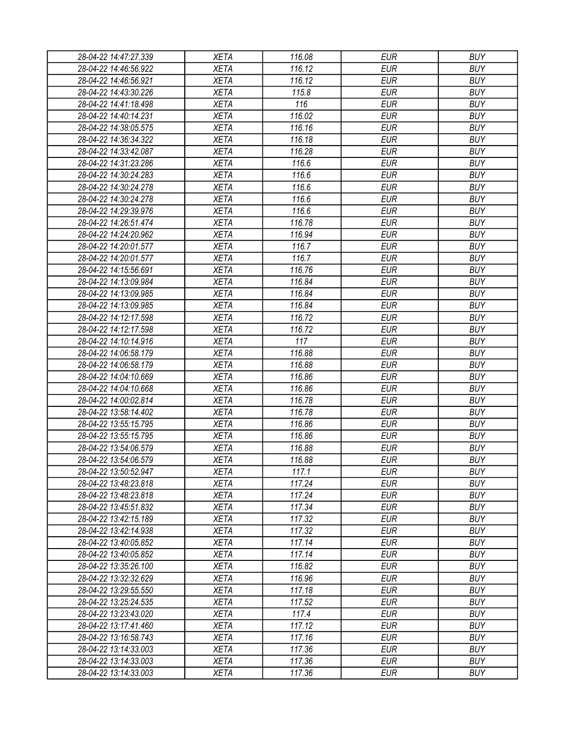| 28-04-22 14:47:27.339 | <b>XETA</b> | 116.08 | <b>EUR</b> | <b>BUY</b> |
|-----------------------|-------------|--------|------------|------------|
| 28-04-22 14:46:56.922 | <b>XETA</b> | 116.12 | <b>EUR</b> | <b>BUY</b> |
| 28-04-22 14:46:56.921 | <b>XETA</b> | 116.12 | <b>EUR</b> | <b>BUY</b> |
| 28-04-22 14:43:30.226 | <b>XETA</b> | 115.8  | <b>EUR</b> | <b>BUY</b> |
| 28-04-22 14:41:18.498 | <b>XETA</b> | 116    | <b>EUR</b> | <b>BUY</b> |
| 28-04-22 14:40:14.231 | <b>XETA</b> | 116.02 | <b>EUR</b> | <b>BUY</b> |
| 28-04-22 14:38:05.575 | <b>XETA</b> | 116.16 | <b>EUR</b> | <b>BUY</b> |
| 28-04-22 14:36:34.322 | <b>XETA</b> | 116.18 | <b>EUR</b> | <b>BUY</b> |
| 28-04-22 14:33:42.087 | <b>XETA</b> | 116.28 | <b>EUR</b> | <b>BUY</b> |
| 28-04-22 14:31:23.286 | <b>XETA</b> | 116.6  | <b>EUR</b> | <b>BUY</b> |
| 28-04-22 14:30:24.283 | <b>XETA</b> | 116.6  | <b>EUR</b> | <b>BUY</b> |
| 28-04-22 14:30:24.278 | <b>XETA</b> | 116.6  | <b>EUR</b> | <b>BUY</b> |
| 28-04-22 14:30:24.278 | <b>XETA</b> | 116.6  | <b>EUR</b> | <b>BUY</b> |
| 28-04-22 14:29:39.976 | <b>XETA</b> | 116.6  | <b>EUR</b> | <b>BUY</b> |
| 28-04-22 14:26:51.474 | <b>XETA</b> | 116.78 | <b>EUR</b> | <b>BUY</b> |
| 28-04-22 14:24:20.962 | <b>XETA</b> | 116.94 | <b>EUR</b> | <b>BUY</b> |
| 28-04-22 14:20:01.577 | <b>XETA</b> | 116.7  | <b>EUR</b> | <b>BUY</b> |
| 28-04-22 14:20:01.577 | <b>XETA</b> | 116.7  | <b>EUR</b> | <b>BUY</b> |
| 28-04-22 14:15:56.691 | <b>XETA</b> | 116.76 | <b>EUR</b> | <b>BUY</b> |
| 28-04-22 14:13:09.984 | <b>XETA</b> | 116.84 | <b>EUR</b> | <b>BUY</b> |
| 28-04-22 14:13:09.985 | <b>XETA</b> | 116.84 | <b>EUR</b> | <b>BUY</b> |
| 28-04-22 14:13:09.985 | <b>XETA</b> | 116.84 | <b>EUR</b> | <b>BUY</b> |
| 28-04-22 14:12:17.598 | <b>XETA</b> | 116.72 | <b>EUR</b> | <b>BUY</b> |
| 28-04-22 14:12:17.598 | <b>XETA</b> | 116.72 | <b>EUR</b> | <b>BUY</b> |
| 28-04-22 14:10:14.916 | <b>XETA</b> | 117    | <b>EUR</b> | <b>BUY</b> |
| 28-04-22 14:06:58.179 | <b>XETA</b> | 116.88 | <b>EUR</b> | <b>BUY</b> |
| 28-04-22 14:06:58.179 | <b>XETA</b> | 116.88 | <b>EUR</b> | <b>BUY</b> |
| 28-04-22 14:04:10.669 | <b>XETA</b> | 116.86 | <b>EUR</b> | <b>BUY</b> |
| 28-04-22 14:04:10.668 | <b>XETA</b> | 116.86 | <b>EUR</b> | <b>BUY</b> |
| 28-04-22 14:00:02.814 | <b>XETA</b> | 116.78 | <b>EUR</b> | <b>BUY</b> |
| 28-04-22 13:58:14.402 | <b>XETA</b> | 116.78 | <b>EUR</b> | <b>BUY</b> |
| 28-04-22 13:55:15.795 | <b>XETA</b> | 116.86 | <b>EUR</b> | <b>BUY</b> |
| 28-04-22 13:55:15.795 | <b>XETA</b> | 116.86 | <b>EUR</b> | <b>BUY</b> |
| 28-04-22 13:54:06.579 | <b>XETA</b> | 116.88 | <b>EUR</b> | <b>BUY</b> |
| 28-04-22 13:54:06.579 | <b>XETA</b> | 116.88 | <b>EUR</b> | <b>BUY</b> |
| 28-04-22 13:50:52.947 | <b>XETA</b> | 117.1  | <b>EUR</b> | <b>BUY</b> |
| 28-04-22 13:48:23.818 | <b>XETA</b> | 117.24 | <b>EUR</b> | <b>BUY</b> |
| 28-04-22 13:48:23.818 | <b>XETA</b> | 117.24 | <b>EUR</b> | <b>BUY</b> |
| 28-04-22 13:45:51.832 | <b>XETA</b> | 117.34 | <b>EUR</b> | <b>BUY</b> |
| 28-04-22 13:42:15.189 | <b>XETA</b> | 117.32 | <b>EUR</b> | <b>BUY</b> |
| 28-04-22 13:42:14.938 | <b>XETA</b> | 117.32 | <b>EUR</b> | <b>BUY</b> |
| 28-04-22 13:40:05.852 | <b>XETA</b> | 117.14 | <b>EUR</b> | <b>BUY</b> |
| 28-04-22 13:40:05.852 | <b>XETA</b> | 117.14 | <b>EUR</b> | <b>BUY</b> |
| 28-04-22 13:35:26.100 | <b>XETA</b> | 116.82 | <b>EUR</b> | <b>BUY</b> |
| 28-04-22 13:32:32.629 | <b>XETA</b> | 116.96 | <b>EUR</b> | <b>BUY</b> |
| 28-04-22 13:29:55.550 | <b>XETA</b> | 117.18 | <b>EUR</b> | <b>BUY</b> |
| 28-04-22 13:25:24.535 | <b>XETA</b> | 117.52 | <b>EUR</b> | <b>BUY</b> |
| 28-04-22 13:23:43.020 | <b>XETA</b> | 117.4  | <b>EUR</b> | <b>BUY</b> |
| 28-04-22 13:17:41.460 | <b>XETA</b> | 117.12 | <b>EUR</b> | <b>BUY</b> |
| 28-04-22 13:16:58.743 | <b>XETA</b> | 117.16 | <b>EUR</b> | <b>BUY</b> |
| 28-04-22 13:14:33.003 | <b>XETA</b> | 117.36 | <b>EUR</b> | <b>BUY</b> |
| 28-04-22 13:14:33.003 | <b>XETA</b> | 117.36 | <b>EUR</b> | <b>BUY</b> |
| 28-04-22 13:14:33.003 | <b>XETA</b> | 117.36 | <b>EUR</b> | <b>BUY</b> |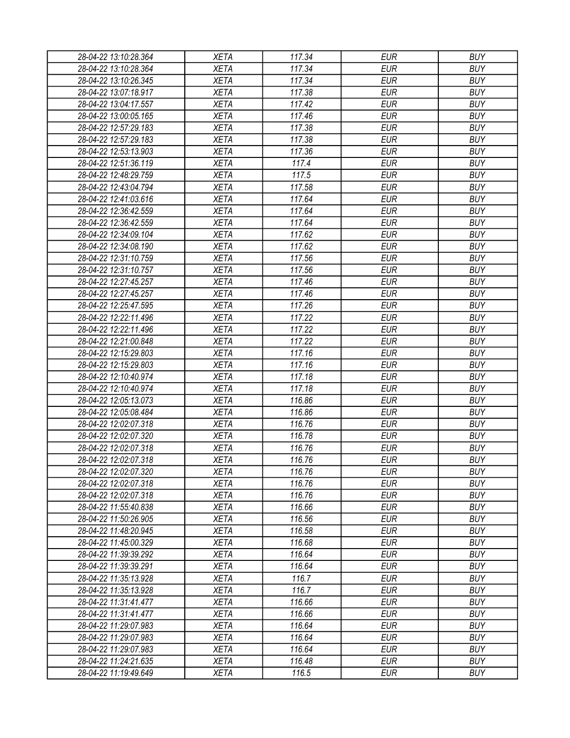| 28-04-22 13:10:28.364                          | <b>XETA</b>                | 117.34           | <b>EUR</b>               | <b>BUY</b> |
|------------------------------------------------|----------------------------|------------------|--------------------------|------------|
| 28-04-22 13:10:28.364                          | <b>XETA</b>                | 117.34           | <b>EUR</b>               | <b>BUY</b> |
| 28-04-22 13:10:26.345                          | <b>XETA</b>                | 117.34           | <b>EUR</b>               | <b>BUY</b> |
| 28-04-22 13:07:18.917                          | <b>XETA</b>                | 117.38           | <b>EUR</b>               | <b>BUY</b> |
| 28-04-22 13:04:17.557                          | <b>XETA</b>                | 117.42           | <b>EUR</b>               | <b>BUY</b> |
| 28-04-22 13:00:05.165                          | <b>XETA</b>                | 117.46           | <b>EUR</b>               | <b>BUY</b> |
| 28-04-22 12:57:29.183                          | <b>XETA</b>                | 117.38           | <b>EUR</b>               | <b>BUY</b> |
| 28-04-22 12:57:29.183                          | <b>XETA</b>                | 117.38           | <b>EUR</b>               | <b>BUY</b> |
| 28-04-22 12:53:13.903                          | <b>XETA</b>                | 117.36           | <b>EUR</b>               | <b>BUY</b> |
| 28-04-22 12:51:36.119                          | <b>XETA</b>                | 117.4            | <b>EUR</b>               | <b>BUY</b> |
| 28-04-22 12:48:29.759                          | <b>XETA</b>                | 117.5            | <b>EUR</b>               | <b>BUY</b> |
| 28-04-22 12:43:04.794                          | <b>XETA</b>                | 117.58           | <b>EUR</b>               | <b>BUY</b> |
| 28-04-22 12:41:03.616                          | <b>XETA</b>                | 117.64           | <b>EUR</b>               | <b>BUY</b> |
| 28-04-22 12:36:42.559                          | <b>XETA</b>                | 117.64           | <b>EUR</b>               | <b>BUY</b> |
| 28-04-22 12:36:42.559                          | <b>XETA</b>                | 117.64           | <b>EUR</b>               | <b>BUY</b> |
| 28-04-22 12:34:09.104                          | <b>XETA</b>                | 117.62           | <b>EUR</b>               | <b>BUY</b> |
| 28-04-22 12:34:08.190                          |                            |                  |                          | <b>BUY</b> |
|                                                | <b>XETA</b><br><b>XETA</b> | 117.62<br>117.56 | <b>EUR</b><br><b>EUR</b> | <b>BUY</b> |
| 28-04-22 12:31:10.759<br>28-04-22 12:31:10.757 |                            |                  |                          |            |
|                                                | <b>XETA</b>                | 117.56           | <b>EUR</b>               | <b>BUY</b> |
| 28-04-22 12:27:45.257                          | <b>XETA</b>                | 117.46           | <b>EUR</b>               | <b>BUY</b> |
| 28-04-22 12:27:45.257                          | <b>XETA</b>                | 117.46           | <b>EUR</b>               | <b>BUY</b> |
| 28-04-22 12:25:47.595                          | <b>XETA</b>                | 117.26           | <b>EUR</b>               | <b>BUY</b> |
| 28-04-22 12:22:11.496                          | <b>XETA</b>                | 117.22           | <b>EUR</b>               | <b>BUY</b> |
| 28-04-22 12:22:11.496                          | <b>XETA</b>                | 117.22           | <b>EUR</b>               | <b>BUY</b> |
| 28-04-22 12:21:00.848                          | <b>XETA</b>                | 117.22           | <b>EUR</b>               | <b>BUY</b> |
| 28-04-22 12:15:29.803                          | <b>XETA</b>                | 117.16           | <b>EUR</b>               | <b>BUY</b> |
| 28-04-22 12:15:29.803                          | <b>XETA</b>                | 117.16           | <b>EUR</b>               | <b>BUY</b> |
| 28-04-22 12:10:40.974                          | <b>XETA</b>                | 117.18           | <b>EUR</b>               | <b>BUY</b> |
| 28-04-22 12:10:40.974                          | <b>XETA</b>                | 117.18           | <b>EUR</b>               | <b>BUY</b> |
| 28-04-22 12:05:13.073                          | <b>XETA</b>                | 116.86           | <b>EUR</b>               | <b>BUY</b> |
| 28-04-22 12:05:08.484                          | <b>XETA</b>                | 116.86           | <b>EUR</b>               | <b>BUY</b> |
| 28-04-22 12:02:07.318                          | <b>XETA</b>                | 116.76           | <b>EUR</b>               | <b>BUY</b> |
| 28-04-22 12:02:07.320                          | <b>XETA</b>                | 116.78           | <b>EUR</b>               | <b>BUY</b> |
| 28-04-22 12:02:07.318                          | <b>XETA</b>                | 116.76           | <b>EUR</b>               | <b>BUY</b> |
| 28-04-22 12:02:07.318                          | <b>XETA</b>                | 116.76           | <b>EUR</b>               | <b>BUY</b> |
| 28-04-22 12:02:07.320                          | <b>XETA</b>                | 116.76           | <b>EUR</b>               | <b>BUY</b> |
| 28-04-22 12:02:07.318                          | <b>XETA</b>                | 116.76           | <b>EUR</b>               | <b>BUY</b> |
| 28-04-22 12:02:07.318                          | <b>XETA</b>                | 116.76           | <b>EUR</b>               | <b>BUY</b> |
| 28-04-22 11:55:40.838                          | <b>XETA</b>                | 116.66           | <b>EUR</b>               | <b>BUY</b> |
| 28-04-22 11:50:26.905                          | <b>XETA</b>                | 116.56           | <b>EUR</b>               | <b>BUY</b> |
| 28-04-22 11:48:20.945                          | <b>XETA</b>                | 116.58           | <b>EUR</b>               | <b>BUY</b> |
| 28-04-22 11:45:00.329                          | <b>XETA</b>                | 116.68           | <b>EUR</b>               | <b>BUY</b> |
| 28-04-22 11:39:39.292                          | <b>XETA</b>                | 116.64           | <b>EUR</b>               | <b>BUY</b> |
| 28-04-22 11:39:39.291                          | <b>XETA</b>                | 116.64           | <b>EUR</b>               | <b>BUY</b> |
| 28-04-22 11:35:13.928                          | <b>XETA</b>                | 116.7            | <b>EUR</b>               | <b>BUY</b> |
| 28-04-22 11:35:13.928                          | <b>XETA</b>                | 116.7            | <b>EUR</b>               | <b>BUY</b> |
| 28-04-22 11:31:41.477                          | <b>XETA</b>                | 116.66           | <b>EUR</b>               | <b>BUY</b> |
| 28-04-22 11:31:41.477                          | <b>XETA</b>                | 116.66           | <b>EUR</b>               | <b>BUY</b> |
| 28-04-22 11:29:07.983                          | <b>XETA</b>                | 116.64           | <b>EUR</b>               | <b>BUY</b> |
| 28-04-22 11:29:07.983                          | <b>XETA</b>                | 116.64           | <b>EUR</b>               | <b>BUY</b> |
| 28-04-22 11:29:07.983                          | <b>XETA</b>                | 116.64           | EUR                      | <b>BUY</b> |
| 28-04-22 11:24:21.635                          | <b>XETA</b>                | 116.48           | <b>EUR</b>               | <b>BUY</b> |
| 28-04-22 11:19:49.649                          | <b>XETA</b>                | 116.5            | <b>EUR</b>               | <b>BUY</b> |
|                                                |                            |                  |                          |            |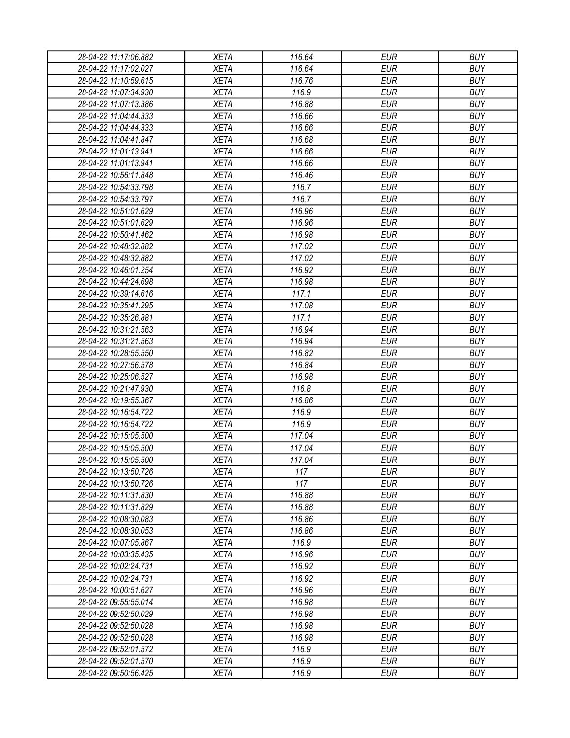| 28-04-22 11:17:06.882                          | <b>XETA</b> | 116.64     | <b>EUR</b>               | <b>BUY</b>               |
|------------------------------------------------|-------------|------------|--------------------------|--------------------------|
| 28-04-22 11:17:02.027                          | <b>XETA</b> | 116.64     | <b>EUR</b>               | <b>BUY</b>               |
| 28-04-22 11:10:59.615                          | <b>XETA</b> | 116.76     | <b>EUR</b>               | <b>BUY</b>               |
| 28-04-22 11:07:34.930                          | <b>XETA</b> | 116.9      | <b>EUR</b>               | <b>BUY</b>               |
| 28-04-22 11:07:13.386                          | <b>XETA</b> | 116.88     | <b>EUR</b>               | <b>BUY</b>               |
| 28-04-22 11:04:44.333                          | <b>XETA</b> | 116.66     | <b>EUR</b>               | <b>BUY</b>               |
| 28-04-22 11:04:44.333                          | <b>XETA</b> | 116.66     | <b>EUR</b>               | <b>BUY</b>               |
| 28-04-22 11:04:41.847                          | <b>XETA</b> | 116.68     | <b>EUR</b>               | <b>BUY</b>               |
| 28-04-22 11:01:13.941                          | <b>XETA</b> | 116.66     | <b>EUR</b>               | <b>BUY</b>               |
| 28-04-22 11:01:13.941                          | <b>XETA</b> | 116.66     | <b>EUR</b>               | <b>BUY</b>               |
| 28-04-22 10:56:11.848                          | <b>XETA</b> | 116.46     | <b>EUR</b>               | <b>BUY</b>               |
| 28-04-22 10:54:33.798                          | <b>XETA</b> | 116.7      | <b>EUR</b>               | <b>BUY</b>               |
| 28-04-22 10:54:33.797                          | <b>XETA</b> | 116.7      | <b>EUR</b>               | <b>BUY</b>               |
| 28-04-22 10:51:01.629                          | <b>XETA</b> | 116.96     | <b>EUR</b>               | <b>BUY</b>               |
| 28-04-22 10:51:01.629                          | <b>XETA</b> | 116.96     | <b>EUR</b>               | <b>BUY</b>               |
| 28-04-22 10:50:41.462                          | <b>XETA</b> | 116.98     | <b>EUR</b>               | <b>BUY</b>               |
| 28-04-22 10:48:32.882                          | <b>XETA</b> | 117.02     | <b>EUR</b>               | <b>BUY</b>               |
| 28-04-22 10:48:32.882                          | <b>XETA</b> | 117.02     | <b>EUR</b>               | <b>BUY</b>               |
| 28-04-22 10:46:01.254                          | <b>XETA</b> | 116.92     | <b>EUR</b>               | <b>BUY</b>               |
| 28-04-22 10:44:24.698                          | <b>XETA</b> | 116.98     | <b>EUR</b>               | <b>BUY</b>               |
| 28-04-22 10:39:14.616                          | <b>XETA</b> | 117.1      | <b>EUR</b>               | <b>BUY</b>               |
| 28-04-22 10:35:41.295                          | <b>XETA</b> | 117.08     | <b>EUR</b>               | <b>BUY</b>               |
| 28-04-22 10:35:26.881                          | <b>XETA</b> | 117.1      | <b>EUR</b>               | <b>BUY</b>               |
| 28-04-22 10:31:21.563                          | <b>XETA</b> | 116.94     | <b>EUR</b>               | <b>BUY</b>               |
| 28-04-22 10:31:21.563                          | <b>XETA</b> | 116.94     | <b>EUR</b>               | <b>BUY</b>               |
| 28-04-22 10:28:55.550                          | <b>XETA</b> | 116.82     | <b>EUR</b>               | <b>BUY</b>               |
| 28-04-22 10:27:56.578                          | <b>XETA</b> | 116.84     | <b>EUR</b>               | <b>BUY</b>               |
| 28-04-22 10:25:06.527                          | <b>XETA</b> | 116.98     | <b>EUR</b>               | <b>BUY</b>               |
| 28-04-22 10:21:47.930                          | <b>XETA</b> | 116.8      | <b>EUR</b>               | <b>BUY</b>               |
| 28-04-22 10:19:55.367                          | <b>XETA</b> | 116.86     | <b>EUR</b>               | <b>BUY</b>               |
| 28-04-22 10:16:54.722                          | <b>XETA</b> | 116.9      | <b>EUR</b>               | <b>BUY</b>               |
| 28-04-22 10:16:54.722                          | <b>XETA</b> | 116.9      | <b>EUR</b>               | <b>BUY</b>               |
| 28-04-22 10:15:05.500                          | <b>XETA</b> | 117.04     | <b>EUR</b>               | <b>BUY</b>               |
| 28-04-22 10:15:05.500                          | <b>XETA</b> | 117.04     | <b>EUR</b>               | <b>BUY</b>               |
|                                                |             |            | <b>EUR</b>               | <b>BUY</b>               |
| 28-04-22 10:15:05.500                          | <b>XETA</b> | 117.04     |                          |                          |
| 28-04-22 10:13:50.726                          | <b>XETA</b> | 117<br>117 | <b>EUR</b><br><b>EUR</b> | <b>BUY</b><br><b>BUY</b> |
| 28-04-22 10:13:50.726<br>28-04-22 10:11:31.830 | <b>XETA</b> |            | <b>EUR</b>               | <b>BUY</b>               |
|                                                | <b>XETA</b> | 116.88     |                          |                          |
| 28-04-22 10:11:31.829                          | <b>XETA</b> | 116.88     | <b>EUR</b>               | <b>BUY</b>               |
| 28-04-22 10:08:30.083                          | <b>XETA</b> | 116.86     | <b>EUR</b>               | <b>BUY</b>               |
| 28-04-22 10:08:30.053                          | <b>XETA</b> | 116.86     | <b>EUR</b>               | <b>BUY</b>               |
| 28-04-22 10:07:05.867                          | <b>XETA</b> | 116.9      | <b>EUR</b>               | <b>BUY</b>               |
| 28-04-22 10:03:35.435                          | <b>XETA</b> | 116.96     | <b>EUR</b>               | <b>BUY</b>               |
| 28-04-22 10:02:24.731                          | <b>XETA</b> | 116.92     | <b>EUR</b>               | <b>BUY</b>               |
| 28-04-22 10:02:24.731                          | <b>XETA</b> | 116.92     | <b>EUR</b>               | <b>BUY</b>               |
| 28-04-22 10:00:51.627                          | <b>XETA</b> | 116.96     | <b>EUR</b>               | <b>BUY</b>               |
| 28-04-22 09:55:55.014                          | <b>XETA</b> | 116.98     | <b>EUR</b>               | <b>BUY</b>               |
| 28-04-22 09:52:50.029                          | <b>XETA</b> | 116.98     | <b>EUR</b>               | <b>BUY</b>               |
| 28-04-22 09:52:50.028                          | <b>XETA</b> | 116.98     | <b>EUR</b>               | <b>BUY</b>               |
| 28-04-22 09:52:50.028                          | <b>XETA</b> | 116.98     | <b>EUR</b>               | <b>BUY</b>               |
| 28-04-22 09:52:01.572                          | <b>XETA</b> | 116.9      | <b>EUR</b>               | <b>BUY</b>               |
| 28-04-22 09:52:01.570                          | <b>XETA</b> | 116.9      | <b>EUR</b>               | <b>BUY</b>               |
| 28-04-22 09:50:56.425                          | <b>XETA</b> | 116.9      | <b>EUR</b>               | <b>BUY</b>               |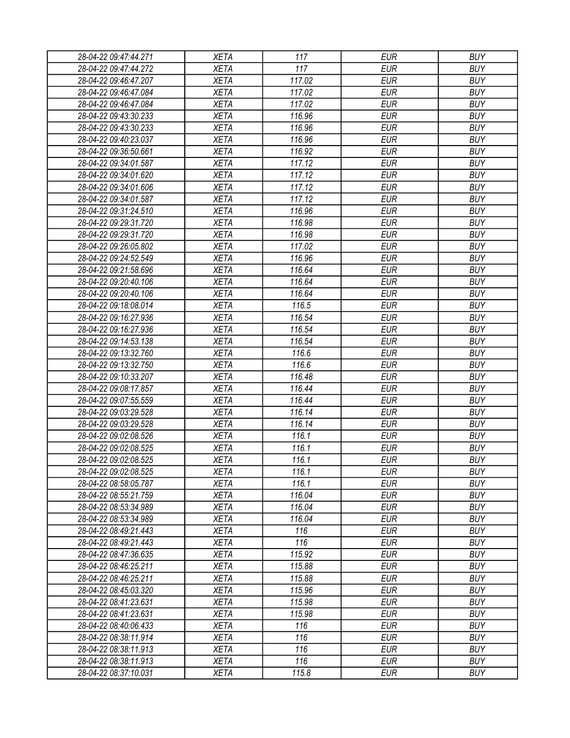| 28-04-22 09:47:44.271 | <b>XETA</b> | 117    | <b>EUR</b> | <b>BUY</b> |
|-----------------------|-------------|--------|------------|------------|
| 28-04-22 09:47:44.272 | <b>XETA</b> | 117    | <b>EUR</b> | <b>BUY</b> |
| 28-04-22 09:46:47.207 | <b>XETA</b> | 117.02 | <b>EUR</b> | <b>BUY</b> |
| 28-04-22 09:46:47.084 | <b>XETA</b> | 117.02 | <b>EUR</b> | <b>BUY</b> |
| 28-04-22 09:46:47.084 | <b>XETA</b> | 117.02 | <b>EUR</b> | <b>BUY</b> |
| 28-04-22 09:43:30.233 | <b>XETA</b> | 116.96 | <b>EUR</b> | <b>BUY</b> |
| 28-04-22 09:43:30.233 | <b>XETA</b> | 116.96 | <b>EUR</b> | <b>BUY</b> |
| 28-04-22 09:40:23.037 | <b>XETA</b> | 116.96 | <b>EUR</b> | <b>BUY</b> |
| 28-04-22 09:36:50.661 | <b>XETA</b> | 116.92 | <b>EUR</b> | <b>BUY</b> |
| 28-04-22 09:34:01.587 | <b>XETA</b> | 117.12 | <b>EUR</b> | <b>BUY</b> |
| 28-04-22 09:34:01.620 | <b>XETA</b> | 117.12 | <b>EUR</b> | <b>BUY</b> |
| 28-04-22 09:34:01.606 | <b>XETA</b> | 117.12 | <b>EUR</b> | <b>BUY</b> |
| 28-04-22 09:34:01.587 | <b>XETA</b> | 117.12 | <b>EUR</b> | <b>BUY</b> |
| 28-04-22 09:31:24.510 | <b>XETA</b> | 116.96 | <b>EUR</b> | <b>BUY</b> |
| 28-04-22 09:29:31.720 | <b>XETA</b> | 116.98 | <b>EUR</b> | <b>BUY</b> |
| 28-04-22 09:29:31.720 | <b>XETA</b> | 116.98 | <b>EUR</b> | <b>BUY</b> |
| 28-04-22 09:26:05.802 | <b>XETA</b> | 117.02 | <b>EUR</b> | <b>BUY</b> |
| 28-04-22 09:24:52.549 | <b>XETA</b> | 116.96 | <b>EUR</b> | <b>BUY</b> |
| 28-04-22 09:21:58.696 | <b>XETA</b> | 116.64 | <b>EUR</b> | <b>BUY</b> |
| 28-04-22 09:20:40.106 | <b>XETA</b> | 116.64 | <b>EUR</b> | <b>BUY</b> |
| 28-04-22 09:20:40.106 | <b>XETA</b> | 116.64 | <b>EUR</b> | <b>BUY</b> |
| 28-04-22 09:18:08.014 | <b>XETA</b> | 116.5  | <b>EUR</b> | <b>BUY</b> |
| 28-04-22 09:16:27.936 | <b>XETA</b> | 116.54 | <b>EUR</b> | <b>BUY</b> |
| 28-04-22 09:16:27.936 | <b>XETA</b> | 116.54 | <b>EUR</b> | <b>BUY</b> |
| 28-04-22 09:14:53.138 | <b>XETA</b> | 116.54 | <b>EUR</b> | <b>BUY</b> |
| 28-04-22 09:13:32.760 | <b>XETA</b> | 116.6  | <b>EUR</b> | <b>BUY</b> |
| 28-04-22 09:13:32.750 | <b>XETA</b> | 116.6  | <b>EUR</b> | <b>BUY</b> |
| 28-04-22 09:10:33.207 | <b>XETA</b> | 116.48 | <b>EUR</b> | <b>BUY</b> |
| 28-04-22 09:08:17.857 | <b>XETA</b> | 116.44 | <b>EUR</b> | <b>BUY</b> |
| 28-04-22 09:07:55.559 | <b>XETA</b> | 116.44 | <b>EUR</b> | <b>BUY</b> |
| 28-04-22 09:03:29.528 | <b>XETA</b> | 116.14 | <b>EUR</b> | <b>BUY</b> |
| 28-04-22 09:03:29.528 | <b>XETA</b> | 116.14 | <b>EUR</b> | <b>BUY</b> |
| 28-04-22 09:02:08.526 | <b>XETA</b> | 116.1  | <b>EUR</b> | <b>BUY</b> |
| 28-04-22 09:02:08.525 | <b>XETA</b> | 116.1  | <b>EUR</b> | <b>BUY</b> |
| 28-04-22 09:02:08.525 | <b>XETA</b> | 116.1  | <b>EUR</b> | <b>BUY</b> |
| 28-04-22 09:02:08.525 | <b>XETA</b> | 116.1  | <b>EUR</b> | <b>BUY</b> |
| 28-04-22 08:58:05.787 | <b>XETA</b> | 116.1  | <b>EUR</b> | <b>BUY</b> |
| 28-04-22 08:55:21.759 | <b>XETA</b> | 116.04 | <b>EUR</b> | <b>BUY</b> |
|                       | <b>XETA</b> | 116.04 | <b>EUR</b> | <b>BUY</b> |
| 28-04-22 08:53:34.989 |             | 116.04 |            | <b>BUY</b> |
| 28-04-22 08:53:34.989 | <b>XETA</b> |        | <b>EUR</b> |            |
| 28-04-22 08:49:21.443 | XETA        | 116    | <b>EUR</b> | <b>BUY</b> |
| 28-04-22 08:49:21.443 | <b>XETA</b> | 116    | <b>EUR</b> | <b>BUY</b> |
| 28-04-22 08:47:36.635 | <b>XETA</b> | 115.92 | <b>EUR</b> | <b>BUY</b> |
| 28-04-22 08:46:25.211 | <b>XETA</b> | 115.88 | <b>EUR</b> | <b>BUY</b> |
| 28-04-22 08:46:25.211 | <b>XETA</b> | 115.88 | <b>EUR</b> | <b>BUY</b> |
| 28-04-22 08:45:03.320 | <b>XETA</b> | 115.96 | <b>EUR</b> | <b>BUY</b> |
| 28-04-22 08:41:23.631 | <b>XETA</b> | 115.98 | <b>EUR</b> | <b>BUY</b> |
| 28-04-22 08:41:23.631 | <b>XETA</b> | 115.98 | <b>EUR</b> | <b>BUY</b> |
| 28-04-22 08:40:06.433 | <b>XETA</b> | 116    | <b>EUR</b> | <b>BUY</b> |
| 28-04-22 08:38:11.914 | <b>XETA</b> | 116    | <b>EUR</b> | <b>BUY</b> |
| 28-04-22 08:38:11.913 | <b>XETA</b> | 116    | <b>EUR</b> | <b>BUY</b> |
| 28-04-22 08:38:11.913 | <b>XETA</b> | 116    | <b>EUR</b> | <b>BUY</b> |
| 28-04-22 08:37:10.031 | <b>XETA</b> | 115.8  | <b>EUR</b> | <b>BUY</b> |